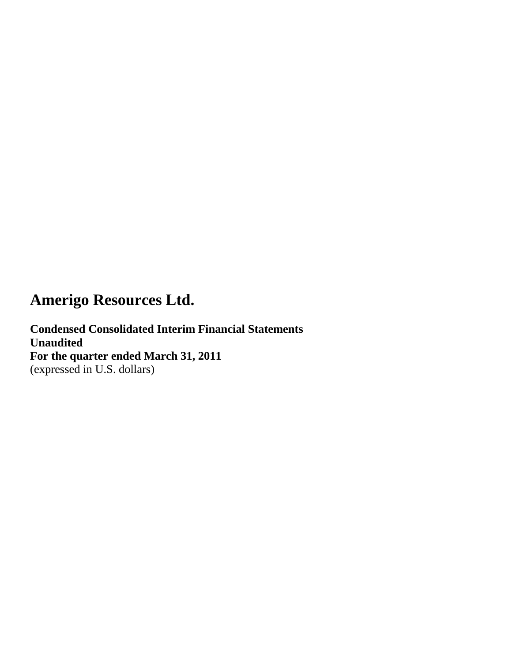**Condensed Consolidated Interim Financial Statements Unaudited For the quarter ended March 31, 2011** (expressed in U.S. dollars)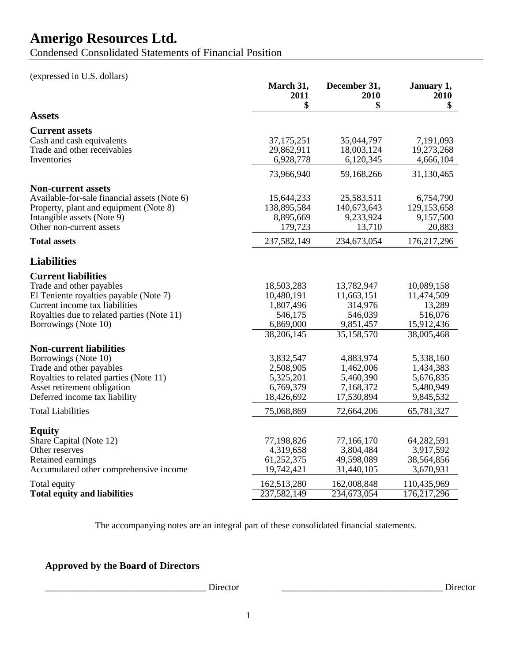Condensed Consolidated Statements of Financial Position

(expressed in U.S. dollars)

|                                              | March 31,<br>2011<br>\$ | December 31,<br>2010<br>\$ | January 1,<br>2010<br>S |
|----------------------------------------------|-------------------------|----------------------------|-------------------------|
| <b>Assets</b>                                |                         |                            |                         |
| <b>Current assets</b>                        |                         |                            |                         |
| Cash and cash equivalents                    | 37, 175, 251            | 35,044,797                 | 7,191,093               |
| Trade and other receivables                  | 29,862,911              | 18,003,124                 | 19,273,268              |
| Inventories                                  | 6,928,778               | 6,120,345                  | 4,666,104               |
|                                              | 73,966,940              | 59,168,266                 | 31,130,465              |
| <b>Non-current assets</b>                    |                         |                            |                         |
| Available-for-sale financial assets (Note 6) | 15,644,233              | 25,583,511                 | 6,754,790               |
| Property, plant and equipment (Note 8)       | 138,895,584             | 140,673,643                | 129, 153, 658           |
| Intangible assets (Note 9)                   | 8,895,669               | 9,233,924                  | 9,157,500               |
| Other non-current assets                     | 179,723                 | 13,710                     | 20,883                  |
| <b>Total assets</b>                          | 237,582,149             | 234,673,054                | 176,217,296             |
| <b>Liabilities</b>                           |                         |                            |                         |
| <b>Current liabilities</b>                   |                         |                            |                         |
| Trade and other payables                     | 18,503,283              | 13,782,947                 | 10,089,158              |
| El Teniente royalties payable (Note 7)       | 10,480,191              | 11,663,151                 | 11,474,509              |
| Current income tax liabilities               | 1,807,496               | 314,976                    | 13,289                  |
| Royalties due to related parties (Note 11)   | 546,175                 | 546,039                    | 516,076                 |
| Borrowings (Note 10)                         | 6,869,000               | 9,851,457                  | 15,912,436              |
|                                              | 38,206,145              | 35,158,570                 | 38,005,468              |
| <b>Non-current liabilities</b>               |                         |                            |                         |
| Borrowings (Note 10)                         | 3,832,547               | 4,883,974                  | 5,338,160               |
| Trade and other payables                     | 2,508,905               | 1,462,006                  | 1,434,383               |
| Royalties to related parties (Note 11)       | 5,325,201               | 5,460,390                  | 5,676,835               |
| Asset retirement obligation                  | 6,769,379               | 7,168,372                  | 5,480,949               |
| Deferred income tax liability                | 18,426,692              | 17,530,894                 | 9,845,532               |
| <b>Total Liabilities</b>                     | 75,068,869              | 72,664,206                 | 65,781,327              |
| <b>Equity</b>                                |                         |                            |                         |
| Share Capital (Note 12)                      | 77,198,826              | 77,166,170                 | 64,282,591              |
| Other reserves                               | 4,319,658               | 3,804,484                  | 3,917,592               |
| Retained earnings                            | 61,252,375              | 49,598,089                 | 38,564,856              |
| Accumulated other comprehensive income       | 19,742,421              | 31,440,105                 | 3,670,931               |
| Total equity                                 | 162,513,280             | 162,008,848                | 110,435,969             |
| <b>Total equity and liabilities</b>          | 237,582,149             | 234,673,054                | 176,217,296             |

The accompanying notes are an integral part of these consolidated financial statements.

**Approved by the Board of Directors**

\_\_\_\_\_\_\_\_\_\_\_\_\_\_\_\_\_\_\_\_\_\_\_\_\_\_\_\_\_\_\_\_\_\_\_ Director \_\_\_\_\_\_\_\_\_\_\_\_\_\_\_\_\_\_\_\_\_\_\_\_\_\_\_\_\_\_\_\_\_\_\_ Director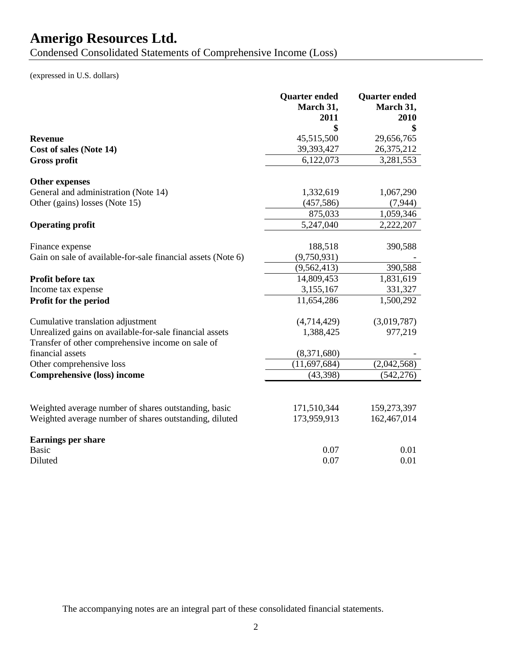Condensed Consolidated Statements of Comprehensive Income (Loss)

(expressed in U.S. dollars)

|                                                              | <b>Quarter ended</b><br>March 31, | <b>Quarter ended</b><br>March 31, |
|--------------------------------------------------------------|-----------------------------------|-----------------------------------|
|                                                              | 2011                              | 2010                              |
| <b>Revenue</b>                                               | \$<br>45,515,500                  | \$<br>29,656,765                  |
|                                                              |                                   |                                   |
| Cost of sales (Note 14)                                      | 39,393,427                        | 26,375,212                        |
| <b>Gross profit</b>                                          | 6,122,073                         | 3,281,553                         |
| <b>Other expenses</b>                                        |                                   |                                   |
| General and administration (Note 14)                         | 1,332,619                         | 1,067,290                         |
| Other (gains) losses (Note 15)                               | (457, 586)                        | (7, 944)                          |
|                                                              | 875,033                           | 1,059,346                         |
| <b>Operating profit</b>                                      | 5,247,040                         | 2,222,207                         |
|                                                              |                                   |                                   |
| Finance expense                                              | 188,518                           | 390,588                           |
| Gain on sale of available-for-sale financial assets (Note 6) | (9,750,931)                       |                                   |
|                                                              | (9, 562, 413)                     | 390,588                           |
| Profit before tax                                            | 14,809,453                        | 1,831,619                         |
| Income tax expense                                           | 3,155,167                         | 331,327                           |
| Profit for the period                                        | 11,654,286                        | 1,500,292                         |
| Cumulative translation adjustment                            | (4,714,429)                       | (3,019,787)                       |
| Unrealized gains on available-for-sale financial assets      | 1,388,425                         | 977,219                           |
| Transfer of other comprehensive income on sale of            |                                   |                                   |
| financial assets                                             | (8,371,680)                       |                                   |
| Other comprehensive loss                                     | (11, 697, 684)                    | (2,042,568)                       |
| <b>Comprehensive (loss) income</b>                           | (43,398)                          | (542, 276)                        |
|                                                              |                                   |                                   |
| Weighted average number of shares outstanding, basic         | 171,510,344                       | 159,273,397                       |
| Weighted average number of shares outstanding, diluted       | 173,959,913                       | 162,467,014                       |
|                                                              |                                   |                                   |
| <b>Earnings per share</b>                                    |                                   |                                   |
| <b>Basic</b>                                                 | 0.07                              | 0.01                              |
| Diluted                                                      | 0.07                              | 0.01                              |

The accompanying notes are an integral part of these consolidated financial statements.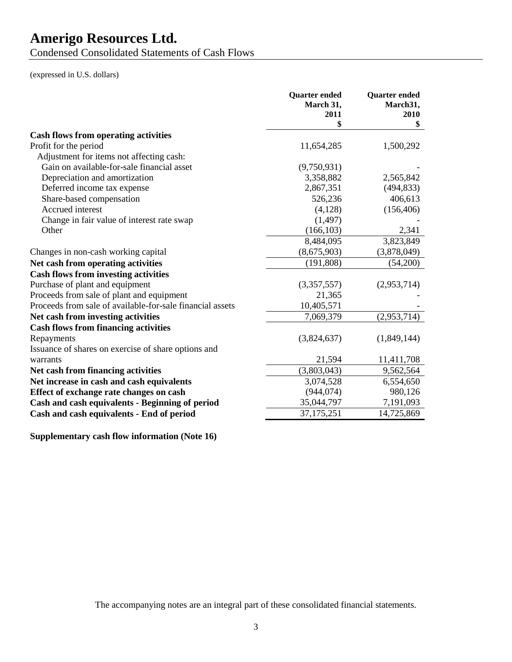Condensed Consolidated Statements of Cash Flows

(expressed in U.S. dollars)

|                                                           | <b>Quarter</b> ended<br>March 31,<br>2011 | <b>Quarter ended</b><br>March31,<br>2010 |
|-----------------------------------------------------------|-------------------------------------------|------------------------------------------|
|                                                           | \$                                        | \$                                       |
| <b>Cash flows from operating activities</b>               |                                           |                                          |
| Profit for the period                                     | 11,654,285                                | 1,500,292                                |
| Adjustment for items not affecting cash:                  |                                           |                                          |
| Gain on available-for-sale financial asset                | (9,750,931)                               |                                          |
| Depreciation and amortization                             | 3,358,882                                 | 2,565,842                                |
| Deferred income tax expense                               | 2,867,351                                 | (494, 833)                               |
| Share-based compensation                                  | 526,236                                   | 406,613                                  |
| Accrued interest                                          | (4,128)                                   | (156, 406)                               |
| Change in fair value of interest rate swap                | (1, 497)                                  |                                          |
| Other                                                     | (166, 103)                                | 2,341                                    |
|                                                           | 8,484,095                                 | 3,823,849                                |
| Changes in non-cash working capital                       | (8,675,903)                               | (3,878,049)                              |
| Net cash from operating activities                        | (191, 808)                                | (54,200)                                 |
| <b>Cash flows from investing activities</b>               |                                           |                                          |
| Purchase of plant and equipment                           | (3,357,557)                               | (2,953,714)                              |
| Proceeds from sale of plant and equipment                 | 21,365                                    |                                          |
| Proceeds from sale of available-for-sale financial assets | 10,405,571                                |                                          |
| Net cash from investing activities                        | 7,069,379                                 | (2,953,714)                              |
| <b>Cash flows from financing activities</b>               |                                           |                                          |
| Repayments                                                | (3,824,637)                               | (1,849,144)                              |
| Issuance of shares on exercise of share options and       |                                           |                                          |
| warrants                                                  | 21,594                                    | 11,411,708                               |
| Net cash from financing activities                        | (3,803,043)                               | 9,562,564                                |
| Net increase in cash and cash equivalents                 | 3,074,528                                 | 6,554,650                                |
| Effect of exchange rate changes on cash                   | (944, 074)                                | 980,126                                  |
| Cash and cash equivalents - Beginning of period           | 35,044,797                                | 7,191,093                                |
| Cash and cash equivalents - End of period                 | 37,175,251                                | 14,725,869                               |

**Supplementary cash flow information (Note 16)**

The accompanying notes are an integral part of these consolidated financial statements.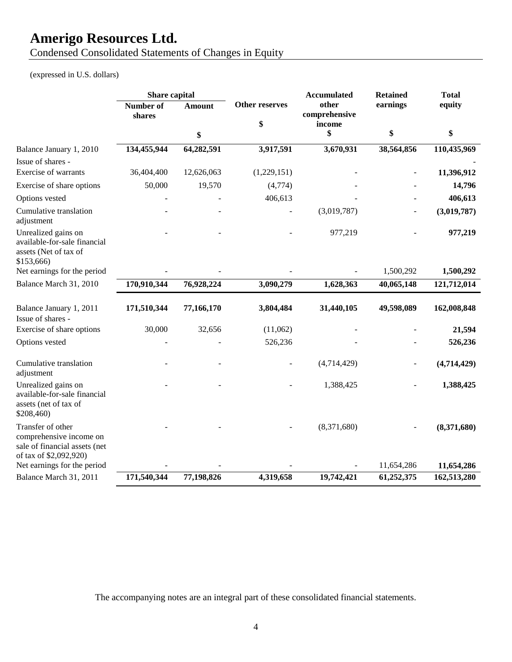Condensed Consolidated Statements of Changes in Equity

(expressed in U.S. dollars)

|                                                                                                         | <b>Share capital</b>       |               |                             | Accumulated                      | <b>Retained</b> | <b>Total</b> |
|---------------------------------------------------------------------------------------------------------|----------------------------|---------------|-----------------------------|----------------------------------|-----------------|--------------|
|                                                                                                         | <b>Number of</b><br>shares | <b>Amount</b> | <b>Other reserves</b><br>\$ | other<br>comprehensive<br>income | earnings        | equity       |
|                                                                                                         |                            | \$            |                             | \$                               | \$              | \$           |
| Balance January 1, 2010                                                                                 | 134,455,944                | 64,282,591    | 3,917,591                   | 3,670,931                        | 38,564,856      | 110,435,969  |
| Issue of shares -                                                                                       |                            |               |                             |                                  |                 |              |
| Exercise of warrants                                                                                    | 36,404,400                 | 12,626,063    | (1,229,151)                 |                                  |                 | 11,396,912   |
| Exercise of share options                                                                               | 50,000                     | 19,570        | (4,774)                     |                                  |                 | 14,796       |
| Options vested                                                                                          |                            |               | 406,613                     |                                  |                 | 406,613      |
| Cumulative translation<br>adjustment                                                                    |                            |               |                             | (3,019,787)                      |                 | (3,019,787)  |
| Unrealized gains on<br>available-for-sale financial<br>assets (Net of tax of<br>\$153,666               |                            |               |                             | 977,219                          |                 | 977,219      |
| Net earnings for the period                                                                             |                            |               |                             |                                  | 1,500,292       | 1,500,292    |
| Balance March 31, 2010                                                                                  | 170,910,344                | 76,928,224    | 3,090,279                   | 1,628,363                        | 40,065,148      | 121,712,014  |
| Balance January 1, 2011<br>Issue of shares -                                                            | 171,510,344                | 77,166,170    | 3,804,484                   | 31,440,105                       | 49,598,089      | 162,008,848  |
| Exercise of share options                                                                               | 30,000                     | 32,656        | (11,062)                    |                                  |                 | 21,594       |
| Options vested                                                                                          |                            |               | 526,236                     |                                  |                 | 526,236      |
| Cumulative translation<br>adjustment                                                                    |                            |               |                             | (4,714,429)                      | ÷               | (4,714,429)  |
| Unrealized gains on<br>available-for-sale financial<br>assets (net of tax of<br>\$208,460)              |                            |               |                             | 1,388,425                        |                 | 1,388,425    |
| Transfer of other<br>comprehensive income on<br>sale of financial assets (net<br>of tax of \$2,092,920) |                            |               |                             | (8,371,680)                      |                 | (8,371,680)  |
| Net earnings for the period                                                                             |                            |               |                             |                                  | 11,654,286      | 11,654,286   |
| Balance March 31, 2011                                                                                  | 171,540,344                | 77,198,826    | 4,319,658                   | 19,742,421                       | 61,252,375      | 162,513,280  |

The accompanying notes are an integral part of these consolidated financial statements.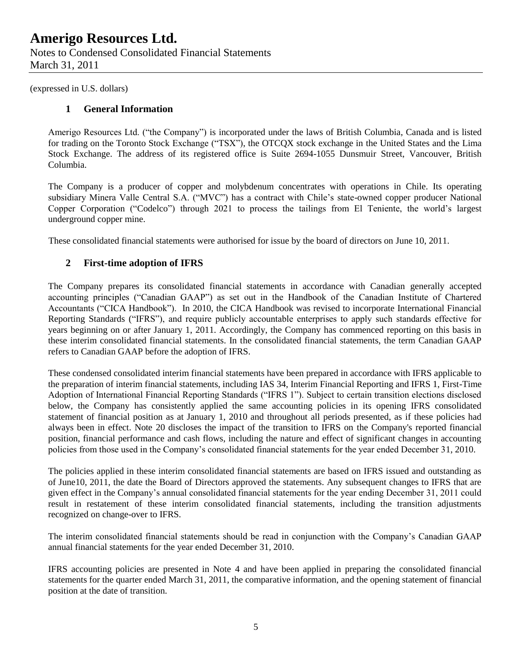Notes to Condensed Consolidated Financial Statements March 31, 2011

(expressed in U.S. dollars)

### **1 General Information**

Amerigo Resources Ltd. ("the Company") is incorporated under the laws of British Columbia, Canada and is listed for trading on the Toronto Stock Exchange ("TSX"), the OTCOX stock exchange in the United States and the Lima Stock Exchange. The address of its registered office is Suite 2694-1055 Dunsmuir Street, Vancouver, British Columbia.

The Company is a producer of copper and molybdenum concentrates with operations in Chile. Its operating subsidiary Minera Valle Central S.A. ("MVC") has a contract with Chile's state-owned copper producer National Copper Corporation ("Codelco") through 2021 to process the tailings from El Teniente, the world's largest underground copper mine.

These consolidated financial statements were authorised for issue by the board of directors on June 10, 2011.

### **2 First-time adoption of IFRS**

The Company prepares its consolidated financial statements in accordance with Canadian generally accepted accounting principles ("Canadian GAAP") as set out in the Handbook of the Canadian Institute of Chartered Accountants ("CICA Handbook"). In 2010, the CICA Handbook was revised to incorporate International Financial Reporting Standards ("IFRS"), and require publicly accountable enterprises to apply such standards effective for years beginning on or after January 1, 2011. Accordingly, the Company has commenced reporting on this basis in these interim consolidated financial statements. In the consolidated financial statements, the term Canadian GAAP refers to Canadian GAAP before the adoption of IFRS.

These condensed consolidated interim financial statements have been prepared in accordance with IFRS applicable to the preparation of interim financial statements, including IAS 34, Interim Financial Reporting and IFRS 1, First-Time Adoption of International Financial Reporting Standards ("IFRS 1"). Subject to certain transition elections disclosed below, the Company has consistently applied the same accounting policies in its opening IFRS consolidated statement of financial position as at January 1, 2010 and throughout all periods presented, as if these policies had always been in effect. Note 20 discloses the impact of the transition to IFRS on the Company's reported financial position, financial performance and cash flows, including the nature and effect of significant changes in accounting policies from those used in the Company's consolidated financial statements for the year ended December 31, 2010.

The policies applied in these interim consolidated financial statements are based on IFRS issued and outstanding as of June10, 2011, the date the Board of Directors approved the statements. Any subsequent changes to IFRS that are given effect in the Company's annual consolidated financial statements for the year ending December 31, 2011 could result in restatement of these interim consolidated financial statements, including the transition adjustments recognized on change-over to IFRS.

The interim consolidated financial statements should be read in conjunction with the Company's Canadian GAAP annual financial statements for the year ended December 31, 2010.

IFRS accounting policies are presented in Note 4 and have been applied in preparing the consolidated financial statements for the quarter ended March 31, 2011, the comparative information, and the opening statement of financial position at the date of transition.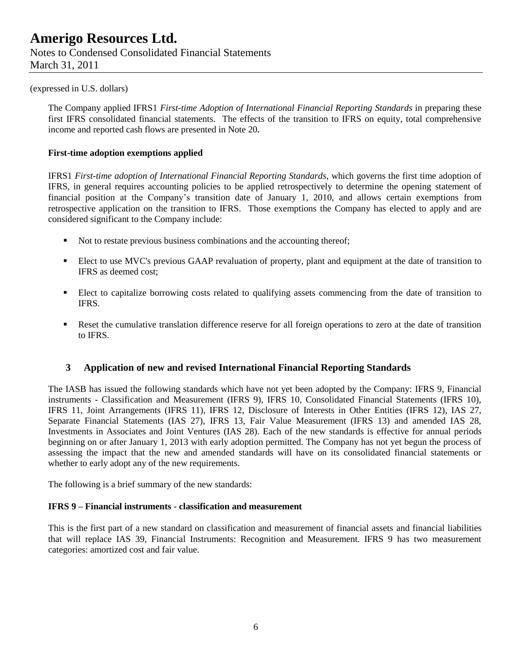Notes to Condensed Consolidated Financial Statements March 31, 2011

#### (expressed in U.S. dollars)

The Company applied IFRS1 *First-time Adoption of International Financial Reporting Standards* in preparing these first IFRS consolidated financial statements. The effects of the transition to IFRS on equity, total comprehensive income and reported cash flows are presented in Note 20**.**

#### **First-time adoption exemptions applied**

IFRS1 *First-time adoption of International Financial Reporting Standards*, which governs the first time adoption of IFRS, in general requires accounting policies to be applied retrospectively to determine the opening statement of financial position at the Company's transition date of January 1, 2010, and allows certain exemptions from retrospective application on the transition to IFRS. Those exemptions the Company has elected to apply and are considered significant to the Company include:

- Not to restate previous business combinations and the accounting thereof:
- Elect to use MVC's previous GAAP revaluation of property, plant and equipment at the date of transition to IFRS as deemed cost;
- Elect to capitalize borrowing costs related to qualifying assets commencing from the date of transition to IFRS.
- Reset the cumulative translation difference reserve for all foreign operations to zero at the date of transition to IFRS.

### **3 Application of new and revised International Financial Reporting Standards**

The IASB has issued the following standards which have not yet been adopted by the Company: IFRS 9, Financial instruments - Classification and Measurement (IFRS 9), IFRS 10, Consolidated Financial Statements (IFRS 10), IFRS 11, Joint Arrangements (IFRS 11), IFRS 12, Disclosure of Interests in Other Entities (IFRS 12), IAS 27, Separate Financial Statements (IAS 27), IFRS 13, Fair Value Measurement (IFRS 13) and amended IAS 28, Investments in Associates and Joint Ventures (IAS 28). Each of the new standards is effective for annual periods beginning on or after January 1, 2013 with early adoption permitted. The Company has not yet begun the process of assessing the impact that the new and amended standards will have on its consolidated financial statements or whether to early adopt any of the new requirements.

The following is a brief summary of the new standards:

#### **IFRS 9 – Financial instruments - classification and measurement**

This is the first part of a new standard on classification and measurement of financial assets and financial liabilities that will replace IAS 39, Financial Instruments: Recognition and Measurement. IFRS 9 has two measurement categories: amortized cost and fair value.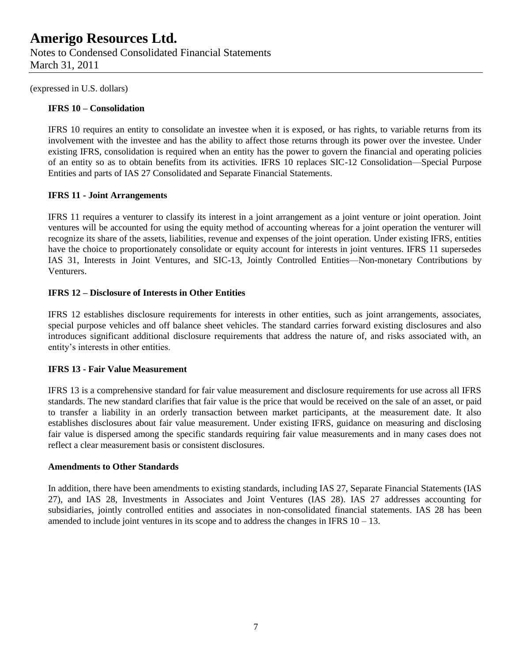Notes to Condensed Consolidated Financial Statements March 31, 2011

(expressed in U.S. dollars)

#### **IFRS 10 – Consolidation**

IFRS 10 requires an entity to consolidate an investee when it is exposed, or has rights, to variable returns from its involvement with the investee and has the ability to affect those returns through its power over the investee. Under existing IFRS, consolidation is required when an entity has the power to govern the financial and operating policies of an entity so as to obtain benefits from its activities. IFRS 10 replaces SIC-12 Consolidation—Special Purpose Entities and parts of IAS 27 Consolidated and Separate Financial Statements.

#### **IFRS 11 - Joint Arrangements**

IFRS 11 requires a venturer to classify its interest in a joint arrangement as a joint venture or joint operation. Joint ventures will be accounted for using the equity method of accounting whereas for a joint operation the venturer will recognize its share of the assets, liabilities, revenue and expenses of the joint operation. Under existing IFRS, entities have the choice to proportionately consolidate or equity account for interests in joint ventures. IFRS 11 supersedes IAS 31, Interests in Joint Ventures, and SIC-13, Jointly Controlled Entities—Non-monetary Contributions by Venturers.

#### **IFRS 12 – Disclosure of Interests in Other Entities**

IFRS 12 establishes disclosure requirements for interests in other entities, such as joint arrangements, associates, special purpose vehicles and off balance sheet vehicles. The standard carries forward existing disclosures and also introduces significant additional disclosure requirements that address the nature of, and risks associated with, an entity's interests in other entities.

#### **IFRS 13 - Fair Value Measurement**

IFRS 13 is a comprehensive standard for fair value measurement and disclosure requirements for use across all IFRS standards. The new standard clarifies that fair value is the price that would be received on the sale of an asset, or paid to transfer a liability in an orderly transaction between market participants, at the measurement date. It also establishes disclosures about fair value measurement. Under existing IFRS, guidance on measuring and disclosing fair value is dispersed among the specific standards requiring fair value measurements and in many cases does not reflect a clear measurement basis or consistent disclosures.

#### **Amendments to Other Standards**

In addition, there have been amendments to existing standards, including IAS 27, Separate Financial Statements (IAS 27), and IAS 28, Investments in Associates and Joint Ventures (IAS 28). IAS 27 addresses accounting for subsidiaries, jointly controlled entities and associates in non-consolidated financial statements. IAS 28 has been amended to include joint ventures in its scope and to address the changes in IFRS  $10 - 13$ .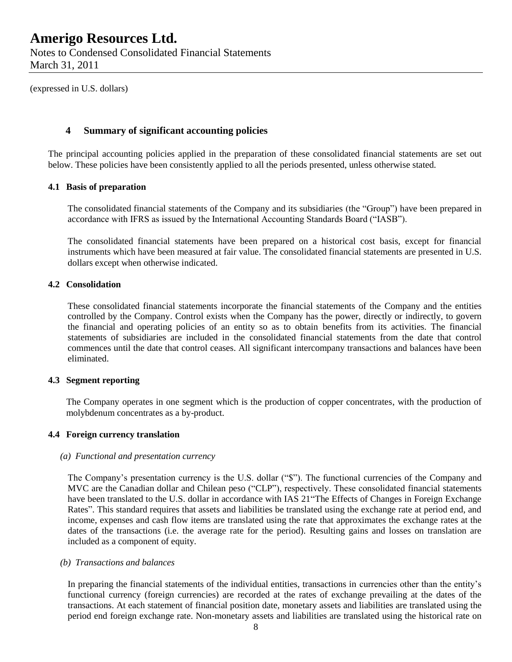Notes to Condensed Consolidated Financial Statements March 31, 2011

(expressed in U.S. dollars)

### **4 Summary of significant accounting policies**

The principal accounting policies applied in the preparation of these consolidated financial statements are set out below. These policies have been consistently applied to all the periods presented, unless otherwise stated.

#### **4.1 Basis of preparation**

The consolidated financial statements of the Company and its subsidiaries (the "Group") have been prepared in accordance with IFRS as issued by the International Accounting Standards Board ("IASB").

The consolidated financial statements have been prepared on a historical cost basis, except for financial instruments which have been measured at fair value. The consolidated financial statements are presented in U.S. dollars except when otherwise indicated.

#### **4.2 Consolidation**

These consolidated financial statements incorporate the financial statements of the Company and the entities controlled by the Company. Control exists when the Company has the power, directly or indirectly, to govern the financial and operating policies of an entity so as to obtain benefits from its activities. The financial statements of subsidiaries are included in the consolidated financial statements from the date that control commences until the date that control ceases. All significant intercompany transactions and balances have been eliminated.

#### **4.3 Segment reporting**

The Company operates in one segment which is the production of copper concentrates, with the production of molybdenum concentrates as a by-product.

#### **4.4 Foreign currency translation**

#### *(a) Functional and presentation currency*

The Company's presentation currency is the U.S. dollar ("\""). The functional currencies of the Company and MVC are the Canadian dollar and Chilean peso ("CLP"), respectively. These consolidated financial statements have been translated to the U.S. dollar in accordance with IAS 21 "The Effects of Changes in Foreign Exchange Rates". This standard requires that assets and liabilities be translated using the exchange rate at period end, and income, expenses and cash flow items are translated using the rate that approximates the exchange rates at the dates of the transactions (i.e. the average rate for the period). Resulting gains and losses on translation are included as a component of equity.

#### *(b) Transactions and balances*

In preparing the financial statements of the individual entities, transactions in currencies other than the entity's functional currency (foreign currencies) are recorded at the rates of exchange prevailing at the dates of the transactions. At each statement of financial position date, monetary assets and liabilities are translated using the period end foreign exchange rate. Non-monetary assets and liabilities are translated using the historical rate on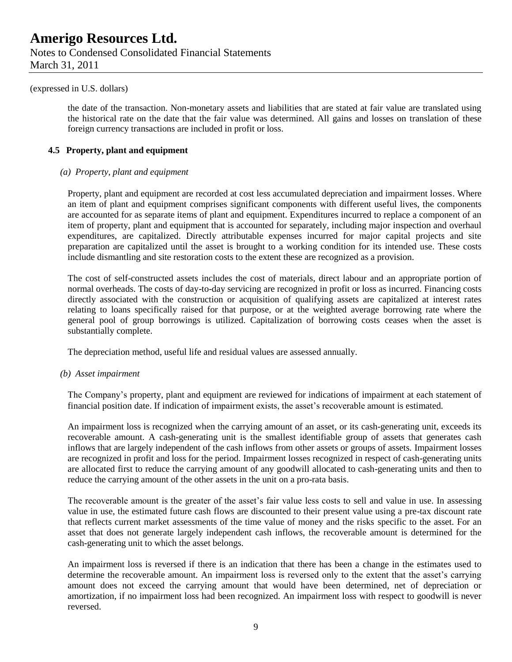#### (expressed in U.S. dollars)

the date of the transaction. Non-monetary assets and liabilities that are stated at fair value are translated using the historical rate on the date that the fair value was determined. All gains and losses on translation of these foreign currency transactions are included in profit or loss.

#### **4.5 Property, plant and equipment**

#### *(a) Property, plant and equipment*

Property, plant and equipment are recorded at cost less accumulated depreciation and impairment losses. Where an item of plant and equipment comprises significant components with different useful lives, the components are accounted for as separate items of plant and equipment. Expenditures incurred to replace a component of an item of property, plant and equipment that is accounted for separately, including major inspection and overhaul expenditures, are capitalized. Directly attributable expenses incurred for major capital projects and site preparation are capitalized until the asset is brought to a working condition for its intended use. These costs include dismantling and site restoration costs to the extent these are recognized as a provision.

The cost of self-constructed assets includes the cost of materials, direct labour and an appropriate portion of normal overheads. The costs of day-to-day servicing are recognized in profit or loss as incurred. Financing costs directly associated with the construction or acquisition of qualifying assets are capitalized at interest rates relating to loans specifically raised for that purpose, or at the weighted average borrowing rate where the general pool of group borrowings is utilized. Capitalization of borrowing costs ceases when the asset is substantially complete.

The depreciation method, useful life and residual values are assessed annually.

#### *(b) Asset impairment*

The Company's property, plant and equipment are reviewed for indications of impairment at each statement of financial position date. If indication of impairment exists, the asset's recoverable amount is estimated.

An impairment loss is recognized when the carrying amount of an asset, or its cash-generating unit, exceeds its recoverable amount. A cash-generating unit is the smallest identifiable group of assets that generates cash inflows that are largely independent of the cash inflows from other assets or groups of assets. Impairment losses are recognized in profit and loss for the period. Impairment losses recognized in respect of cash-generating units are allocated first to reduce the carrying amount of any goodwill allocated to cash-generating units and then to reduce the carrying amount of the other assets in the unit on a pro-rata basis.

The recoverable amount is the greater of the asset's fair value less costs to sell and value in use. In assessing value in use, the estimated future cash flows are discounted to their present value using a pre-tax discount rate that reflects current market assessments of the time value of money and the risks specific to the asset. For an asset that does not generate largely independent cash inflows, the recoverable amount is determined for the cash-generating unit to which the asset belongs.

An impairment loss is reversed if there is an indication that there has been a change in the estimates used to determine the recoverable amount. An impairment loss is reversed only to the extent that the asset's carrying amount does not exceed the carrying amount that would have been determined, net of depreciation or amortization, if no impairment loss had been recognized. An impairment loss with respect to goodwill is never reversed.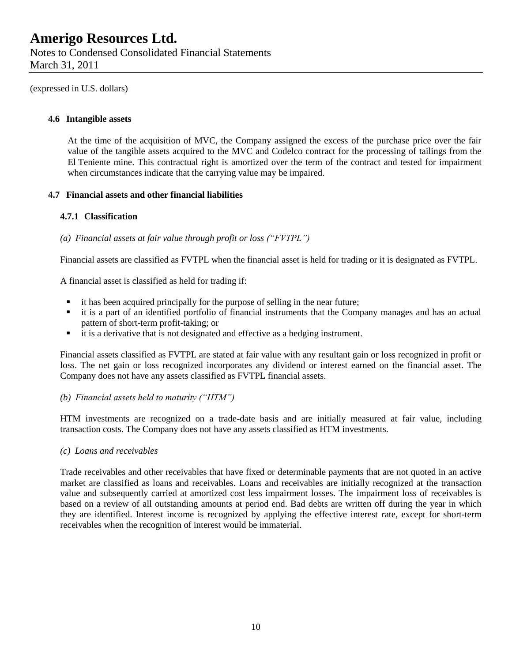Notes to Condensed Consolidated Financial Statements March 31, 2011

(expressed in U.S. dollars)

#### **4.6 Intangible assets**

At the time of the acquisition of MVC, the Company assigned the excess of the purchase price over the fair value of the tangible assets acquired to the MVC and Codelco contract for the processing of tailings from the El Teniente mine. This contractual right is amortized over the term of the contract and tested for impairment when circumstances indicate that the carrying value may be impaired.

#### **4.7 Financial assets and other financial liabilities**

#### **4.7.1 Classification**

#### *(a) Financial assets at fair value through profit or loss ("FVTPL")*

Financial assets are classified as FVTPL when the financial asset is held for trading or it is designated as FVTPL.

A financial asset is classified as held for trading if:

- $\blacksquare$  it has been acquired principally for the purpose of selling in the near future;
- it is a part of an identified portfolio of financial instruments that the Company manages and has an actual pattern of short-term profit-taking; or
- it is a derivative that is not designated and effective as a hedging instrument.

Financial assets classified as FVTPL are stated at fair value with any resultant gain or loss recognized in profit or loss. The net gain or loss recognized incorporates any dividend or interest earned on the financial asset. The Company does not have any assets classified as FVTPL financial assets.

#### *(b) Financial assets held to maturity ("HTM")*

HTM investments are recognized on a trade-date basis and are initially measured at fair value, including transaction costs. The Company does not have any assets classified as HTM investments.

#### *(c) Loans and receivables*

Trade receivables and other receivables that have fixed or determinable payments that are not quoted in an active market are classified as loans and receivables. Loans and receivables are initially recognized at the transaction value and subsequently carried at amortized cost less impairment losses. The impairment loss of receivables is based on a review of all outstanding amounts at period end. Bad debts are written off during the year in which they are identified. Interest income is recognized by applying the effective interest rate, except for short-term receivables when the recognition of interest would be immaterial.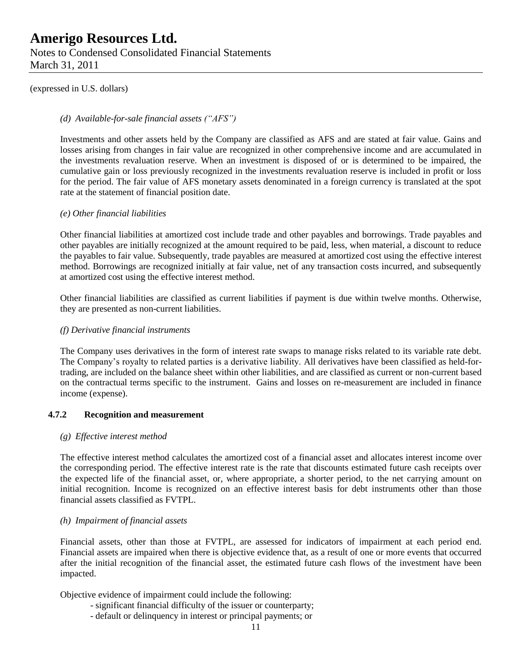Notes to Condensed Consolidated Financial Statements March 31, 2011

#### (expressed in U.S. dollars)

### *(d) Available-for-sale financial assets ("AFS")*

Investments and other assets held by the Company are classified as AFS and are stated at fair value. Gains and losses arising from changes in fair value are recognized in other comprehensive income and are accumulated in the investments revaluation reserve. When an investment is disposed of or is determined to be impaired, the cumulative gain or loss previously recognized in the investments revaluation reserve is included in profit or loss for the period. The fair value of AFS monetary assets denominated in a foreign currency is translated at the spot rate at the statement of financial position date.

#### *(e) Other financial liabilities*

Other financial liabilities at amortized cost include trade and other payables and borrowings. Trade payables and other payables are initially recognized at the amount required to be paid, less, when material, a discount to reduce the payables to fair value. Subsequently, trade payables are measured at amortized cost using the effective interest method. Borrowings are recognized initially at fair value, net of any transaction costs incurred, and subsequently at amortized cost using the effective interest method.

Other financial liabilities are classified as current liabilities if payment is due within twelve months. Otherwise, they are presented as non-current liabilities.

#### *(f) Derivative financial instruments*

The Company uses derivatives in the form of interest rate swaps to manage risks related to its variable rate debt. The Company's royalty to related parties is a derivative liability. All derivatives have been classified as held-fortrading, are included on the balance sheet within other liabilities, and are classified as current or non-current based on the contractual terms specific to the instrument. Gains and losses on re-measurement are included in finance income (expense).

#### **4.7.2 Recognition and measurement**

#### *(g) Effective interest method*

The effective interest method calculates the amortized cost of a financial asset and allocates interest income over the corresponding period. The effective interest rate is the rate that discounts estimated future cash receipts over the expected life of the financial asset, or, where appropriate, a shorter period, to the net carrying amount on initial recognition. Income is recognized on an effective interest basis for debt instruments other than those financial assets classified as FVTPL.

#### *(h) Impairment of financial assets*

Financial assets, other than those at FVTPL, are assessed for indicators of impairment at each period end. Financial assets are impaired when there is objective evidence that, as a result of one or more events that occurred after the initial recognition of the financial asset, the estimated future cash flows of the investment have been impacted.

Objective evidence of impairment could include the following:

- significant financial difficulty of the issuer or counterparty;
- default or delinquency in interest or principal payments; or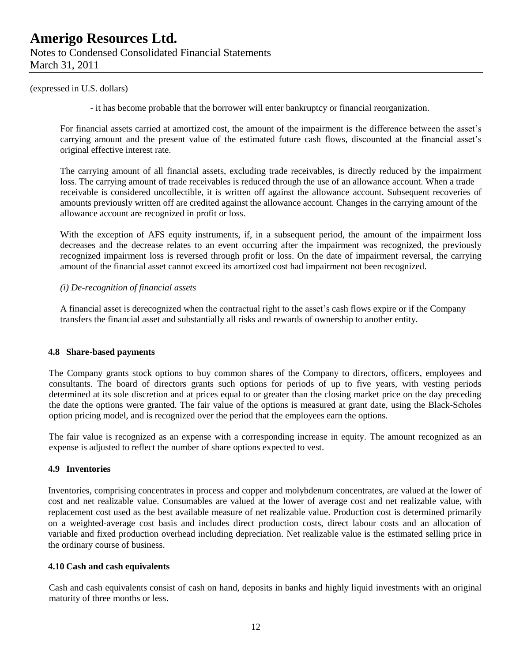Notes to Condensed Consolidated Financial Statements March 31, 2011

#### (expressed in U.S. dollars)

- it has become probable that the borrower will enter bankruptcy or financial reorganization.

For financial assets carried at amortized cost, the amount of the impairment is the difference between the asset's carrying amount and the present value of the estimated future cash flows, discounted at the financial asset's original effective interest rate.

The carrying amount of all financial assets, excluding trade receivables, is directly reduced by the impairment loss. The carrying amount of trade receivables is reduced through the use of an allowance account. When a trade receivable is considered uncollectible, it is written off against the allowance account. Subsequent recoveries of amounts previously written off are credited against the allowance account. Changes in the carrying amount of the allowance account are recognized in profit or loss.

With the exception of AFS equity instruments, if, in a subsequent period, the amount of the impairment loss decreases and the decrease relates to an event occurring after the impairment was recognized, the previously recognized impairment loss is reversed through profit or loss. On the date of impairment reversal, the carrying amount of the financial asset cannot exceed its amortized cost had impairment not been recognized.

#### *(i) De-recognition of financial assets*

A financial asset is derecognized when the contractual right to the asset's cash flows expire or if the Company transfers the financial asset and substantially all risks and rewards of ownership to another entity.

#### **4.8 Share-based payments**

The Company grants stock options to buy common shares of the Company to directors, officers, employees and consultants. The board of directors grants such options for periods of up to five years, with vesting periods determined at its sole discretion and at prices equal to or greater than the closing market price on the day preceding the date the options were granted. The fair value of the options is measured at grant date, using the Black-Scholes option pricing model, and is recognized over the period that the employees earn the options.

The fair value is recognized as an expense with a corresponding increase in equity. The amount recognized as an expense is adjusted to reflect the number of share options expected to vest.

#### **4.9 Inventories**

Inventories, comprising concentrates in process and copper and molybdenum concentrates, are valued at the lower of cost and net realizable value. Consumables are valued at the lower of average cost and net realizable value, with replacement cost used as the best available measure of net realizable value. Production cost is determined primarily on a weighted-average cost basis and includes direct production costs, direct labour costs and an allocation of variable and fixed production overhead including depreciation. Net realizable value is the estimated selling price in the ordinary course of business.

#### **4.10 Cash and cash equivalents**

Cash and cash equivalents consist of cash on hand, deposits in banks and highly liquid investments with an original maturity of three months or less.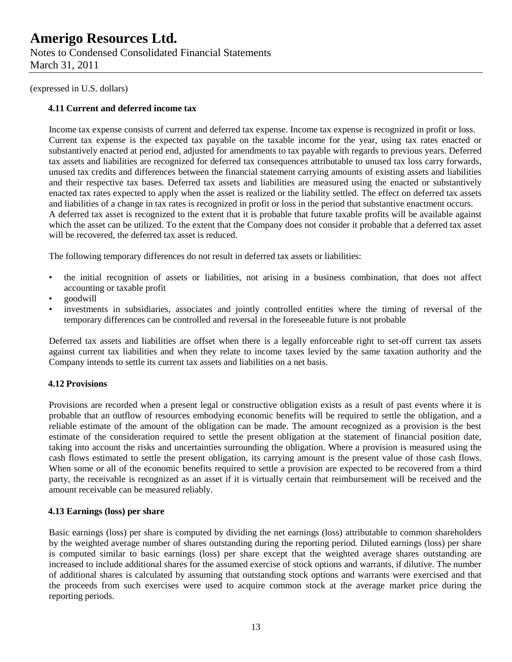Notes to Condensed Consolidated Financial Statements March 31, 2011

(expressed in U.S. dollars)

#### **4.11 Current and deferred income tax**

Income tax expense consists of current and deferred tax expense. Income tax expense is recognized in profit or loss. Current tax expense is the expected tax payable on the taxable income for the year, using tax rates enacted or substantively enacted at period end, adjusted for amendments to tax payable with regards to previous years. Deferred tax assets and liabilities are recognized for deferred tax consequences attributable to unused tax loss carry forwards, unused tax credits and differences between the financial statement carrying amounts of existing assets and liabilities and their respective tax bases. Deferred tax assets and liabilities are measured using the enacted or substantively enacted tax rates expected to apply when the asset is realized or the liability settled. The effect on deferred tax assets and liabilities of a change in tax rates is recognized in profit or loss in the period that substantive enactment occurs. A deferred tax asset is recognized to the extent that it is probable that future taxable profits will be available against which the asset can be utilized. To the extent that the Company does not consider it probable that a deferred tax asset will be recovered, the deferred tax asset is reduced.

The following temporary differences do not result in deferred tax assets or liabilities:

- the initial recognition of assets or liabilities, not arising in a business combination, that does not affect accounting or taxable profit
- goodwill
- investments in subsidiaries, associates and jointly controlled entities where the timing of reversal of the temporary differences can be controlled and reversal in the foreseeable future is not probable

Deferred tax assets and liabilities are offset when there is a legally enforceable right to set-off current tax assets against current tax liabilities and when they relate to income taxes levied by the same taxation authority and the Company intends to settle its current tax assets and liabilities on a net basis.

#### **4.12 Provisions**

Provisions are recorded when a present legal or constructive obligation exists as a result of past events where it is probable that an outflow of resources embodying economic benefits will be required to settle the obligation, and a reliable estimate of the amount of the obligation can be made. The amount recognized as a provision is the best estimate of the consideration required to settle the present obligation at the statement of financial position date, taking into account the risks and uncertainties surrounding the obligation. Where a provision is measured using the cash flows estimated to settle the present obligation, its carrying amount is the present value of those cash flows. When some or all of the economic benefits required to settle a provision are expected to be recovered from a third party, the receivable is recognized as an asset if it is virtually certain that reimbursement will be received and the amount receivable can be measured reliably.

#### **4.13 Earnings (loss) per share**

Basic earnings (loss) per share is computed by dividing the net earnings (loss) attributable to common shareholders by the weighted average number of shares outstanding during the reporting period. Diluted earnings (loss) per share is computed similar to basic earnings (loss) per share except that the weighted average shares outstanding are increased to include additional shares for the assumed exercise of stock options and warrants, if dilutive. The number of additional shares is calculated by assuming that outstanding stock options and warrants were exercised and that the proceeds from such exercises were used to acquire common stock at the average market price during the reporting periods.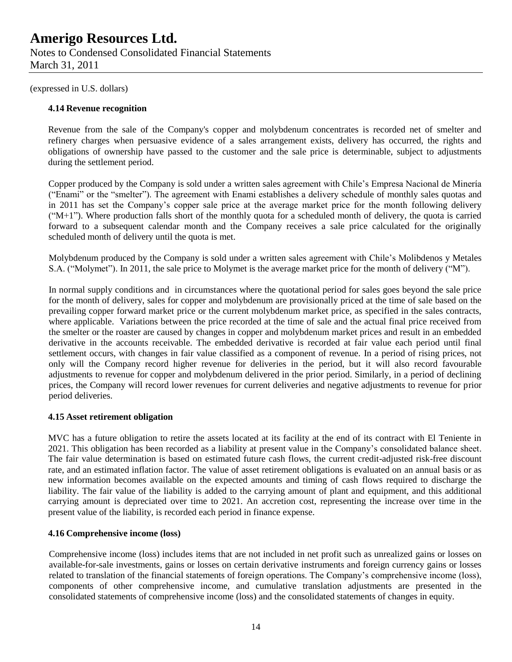Notes to Condensed Consolidated Financial Statements March 31, 2011

(expressed in U.S. dollars)

#### **4.14 Revenue recognition**

Revenue from the sale of the Company's copper and molybdenum concentrates is recorded net of smelter and refinery charges when persuasive evidence of a sales arrangement exists, delivery has occurred, the rights and obligations of ownership have passed to the customer and the sale price is determinable, subject to adjustments during the settlement period.

Copper produced by the Company is sold under a written sales agreement with Chile's Empresa Nacional de Minería ("Enami" or the "smelter"). The agreement with Enami establishes a delivery schedule of monthly sales quotas and in 2011 has set the Company's copper sale price at the average market price for the month following delivery  $($ "M+1"). Where production falls short of the monthly quota for a scheduled month of delivery, the quota is carried forward to a subsequent calendar month and the Company receives a sale price calculated for the originally scheduled month of delivery until the quota is met.

Molybdenum produced by the Company is sold under a written sales agreement with Chile's Molibdenos y Metales S.A. ("Molymet"). In 2011, the sale price to Molymet is the average market price for the month of delivery ("M").

In normal supply conditions and in circumstances where the quotational period for sales goes beyond the sale price for the month of delivery, sales for copper and molybdenum are provisionally priced at the time of sale based on the prevailing copper forward market price or the current molybdenum market price, as specified in the sales contracts, where applicable. Variations between the price recorded at the time of sale and the actual final price received from the smelter or the roaster are caused by changes in copper and molybdenum market prices and result in an embedded derivative in the accounts receivable. The embedded derivative is recorded at fair value each period until final settlement occurs, with changes in fair value classified as a component of revenue. In a period of rising prices, not only will the Company record higher revenue for deliveries in the period, but it will also record favourable adjustments to revenue for copper and molybdenum delivered in the prior period. Similarly, in a period of declining prices, the Company will record lower revenues for current deliveries and negative adjustments to revenue for prior period deliveries.

#### **4.15 Asset retirement obligation**

MVC has a future obligation to retire the assets located at its facility at the end of its contract with El Teniente in 2021. This obligation has been recorded as a liability at present value in the Company's consolidated balance sheet. The fair value determination is based on estimated future cash flows, the current credit-adjusted risk-free discount rate, and an estimated inflation factor. The value of asset retirement obligations is evaluated on an annual basis or as new information becomes available on the expected amounts and timing of cash flows required to discharge the liability. The fair value of the liability is added to the carrying amount of plant and equipment, and this additional carrying amount is depreciated over time to 2021. An accretion cost, representing the increase over time in the present value of the liability, is recorded each period in finance expense.

#### **4.16 Comprehensive income (loss)**

Comprehensive income (loss) includes items that are not included in net profit such as unrealized gains or losses on available-for-sale investments, gains or losses on certain derivative instruments and foreign currency gains or losses related to translation of the financial statements of foreign operations. The Company's comprehensive income (loss), components of other comprehensive income, and cumulative translation adjustments are presented in the consolidated statements of comprehensive income (loss) and the consolidated statements of changes in equity.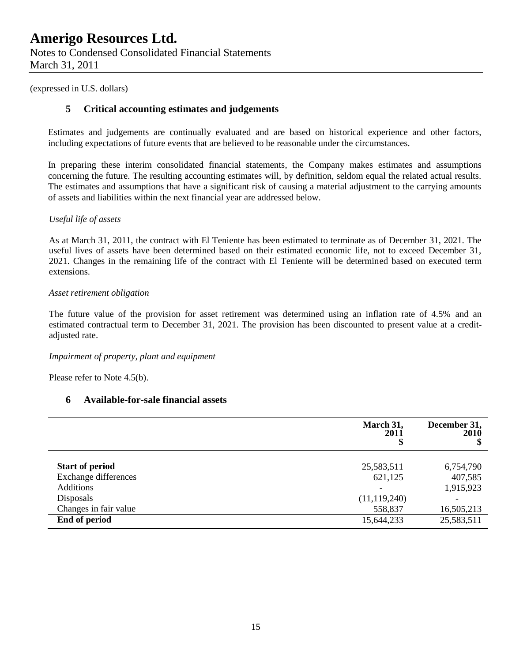## **Amerigo Resources Ltd.** Notes to Condensed Consolidated Financial Statements

March 31, 2011

#### (expressed in U.S. dollars)

### **5 Critical accounting estimates and judgements**

Estimates and judgements are continually evaluated and are based on historical experience and other factors, including expectations of future events that are believed to be reasonable under the circumstances.

In preparing these interim consolidated financial statements, the Company makes estimates and assumptions concerning the future. The resulting accounting estimates will, by definition, seldom equal the related actual results. The estimates and assumptions that have a significant risk of causing a material adjustment to the carrying amounts of assets and liabilities within the next financial year are addressed below.

#### *Useful life of assets*

As at March 31, 2011, the contract with El Teniente has been estimated to terminate as of December 31, 2021. The useful lives of assets have been determined based on their estimated economic life, not to exceed December 31, 2021. Changes in the remaining life of the contract with El Teniente will be determined based on executed term extensions.

#### *Asset retirement obligation*

The future value of the provision for asset retirement was determined using an inflation rate of 4.5% and an estimated contractual term to December 31, 2021. The provision has been discounted to present value at a creditadjusted rate.

#### *Impairment of property, plant and equipment*

Please refer to Note 4.5(b).

#### **6 Available-for-sale financial assets**

|                                                                                                          | March 31,<br>2011<br>Φ                             | December 31,<br>2010<br>Φ                            |
|----------------------------------------------------------------------------------------------------------|----------------------------------------------------|------------------------------------------------------|
| <b>Start of period</b><br>Exchange differences<br><b>Additions</b><br>Disposals<br>Changes in fair value | 25,583,511<br>621,125<br>(11, 119, 240)<br>558,837 | 6,754,790<br>407,585<br>1,915,923<br>-<br>16,505,213 |
| End of period                                                                                            | 15,644,233                                         | 25,583,511                                           |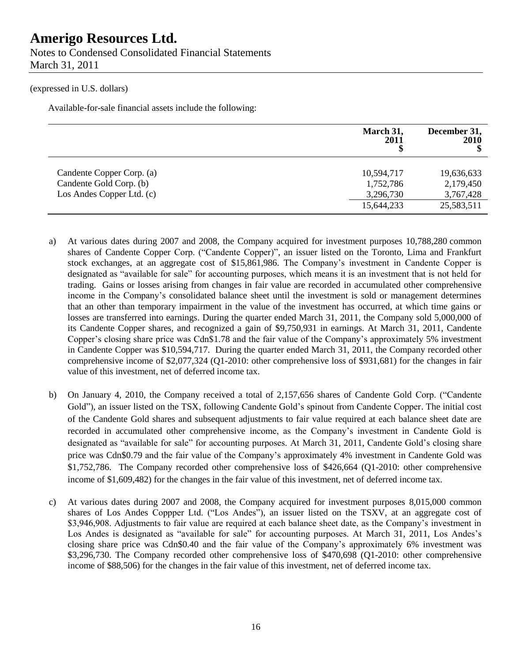Notes to Condensed Consolidated Financial Statements March 31, 2011

#### (expressed in U.S. dollars)

Available-for-sale financial assets include the following:

|                                                      | March 31,<br>2011       | December 31,<br><b>2010</b><br>Φ |
|------------------------------------------------------|-------------------------|----------------------------------|
| Candente Copper Corp. (a)<br>Candente Gold Corp. (b) | 10,594,717<br>1,752,786 | 19,636,633<br>2,179,450          |
| Los Andes Copper Ltd. (c)                            | 3,296,730<br>15,644,233 | 3,767,428<br>25,583,511          |

- a) At various dates during 2007 and 2008, the Company acquired for investment purposes 10,788,280 common shares of Candente Copper Corp. ("Candente Copper)", an issuer listed on the Toronto, Lima and Frankfurt stock exchanges, at an aggregate cost of \$15,861,986. The Company's investment in Candente Copper is designated as "available for sale" for accounting purposes, which means it is an investment that is not held for trading. Gains or losses arising from changes in fair value are recorded in accumulated other comprehensive income in the Company's consolidated balance sheet until the investment is sold or management determines that an other than temporary impairment in the value of the investment has occurred, at which time gains or losses are transferred into earnings. During the quarter ended March 31, 2011, the Company sold 5,000,000 of its Candente Copper shares, and recognized a gain of \$9,750,931 in earnings. At March 31, 2011, Candente Copper's closing share price was Cdn\$1.78 and the fair value of the Company's approximately 5% investment in Candente Copper was \$10,594,717. During the quarter ended March 31, 2011, the Company recorded other comprehensive income of \$2,077,324 (Q1-2010: other comprehensive loss of \$931,681) for the changes in fair value of this investment, net of deferred income tax.
- b) On January 4, 2010, the Company received a total of 2,157,656 shares of Candente Gold Corp. ("Candente Gold"), an issuer listed on the TSX, following Candente Gold's spinout from Candente Copper. The initial cost of the Candente Gold shares and subsequent adjustments to fair value required at each balance sheet date are recorded in accumulated other comprehensive income, as the Company's investment in Candente Gold is designated as "available for sale" for accounting purposes. At March 31, 2011, Candente Gold's closing share price was Cdn\$0.79 and the fair value of the Company's approximately 4% investment in Candente Gold was \$1,752,786. The Company recorded other comprehensive loss of \$426,664 (Q1-2010: other comprehensive income of \$1,609,482) for the changes in the fair value of this investment, net of deferred income tax.
- c) At various dates during 2007 and 2008, the Company acquired for investment purposes 8,015,000 common shares of Los Andes Coppper Ltd. ("Los Andes"), an issuer listed on the TSXV, at an aggregate cost of \$3,946,908. Adjustments to fair value are required at each balance sheet date, as the Company's investment in Los Andes is designated as "available for sale" for accounting purposes. At March 31, 2011, Los Andes's closing share price was Cdn\$0.40 and the fair value of the Company's approximately 6% investment was \$3,296,730. The Company recorded other comprehensive loss of \$470,698 (Q1-2010: other comprehensive income of \$88,506) for the changes in the fair value of this investment, net of deferred income tax.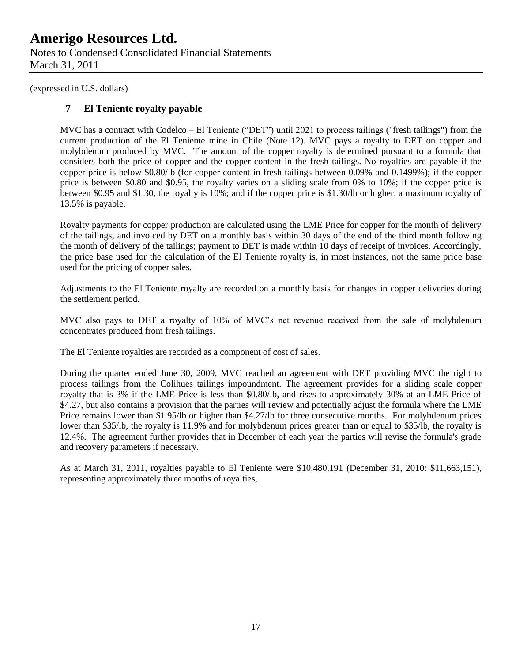## **Amerigo Resources Ltd.** Notes to Condensed Consolidated Financial Statements March 31, 2011

(expressed in U.S. dollars)

### **7 El Teniente royalty payable**

MVC has a contract with Codelco – El Teniente ("DET") until 2021 to process tailings ("fresh tailings") from the current production of the El Teniente mine in Chile (Note 12). MVC pays a royalty to DET on copper and molybdenum produced by MVC. The amount of the copper royalty is determined pursuant to a formula that considers both the price of copper and the copper content in the fresh tailings. No royalties are payable if the copper price is below \$0.80/lb (for copper content in fresh tailings between 0.09% and 0.1499%); if the copper price is between \$0.80 and \$0.95, the royalty varies on a sliding scale from 0% to 10%; if the copper price is between \$0.95 and \$1.30, the royalty is 10%; and if the copper price is \$1.30/lb or higher, a maximum royalty of 13.5% is payable.

Royalty payments for copper production are calculated using the LME Price for copper for the month of delivery of the tailings, and invoiced by DET on a monthly basis within 30 days of the end of the third month following the month of delivery of the tailings; payment to DET is made within 10 days of receipt of invoices. Accordingly, the price base used for the calculation of the El Teniente royalty is, in most instances, not the same price base used for the pricing of copper sales.

Adjustments to the El Teniente royalty are recorded on a monthly basis for changes in copper deliveries during the settlement period.

MVC also pays to DET a royalty of 10% of MVC's net revenue received from the sale of molybdenum concentrates produced from fresh tailings.

The El Teniente royalties are recorded as a component of cost of sales.

During the quarter ended June 30, 2009, MVC reached an agreement with DET providing MVC the right to process tailings from the Colihues tailings impoundment. The agreement provides for a sliding scale copper royalty that is 3% if the LME Price is less than \$0.80/lb, and rises to approximately 30% at an LME Price of \$4.27, but also contains a provision that the parties will review and potentially adjust the formula where the LME Price remains lower than \$1.95/lb or higher than \$4.27/lb for three consecutive months. For molybdenum prices lower than \$35/lb, the royalty is 11.9% and for molybdenum prices greater than or equal to \$35/lb, the royalty is 12.4%. The agreement further provides that in December of each year the parties will revise the formula's grade and recovery parameters if necessary.

As at March 31, 2011, royalties payable to El Teniente were \$10,480,191 (December 31, 2010: \$11,663,151), representing approximately three months of royalties,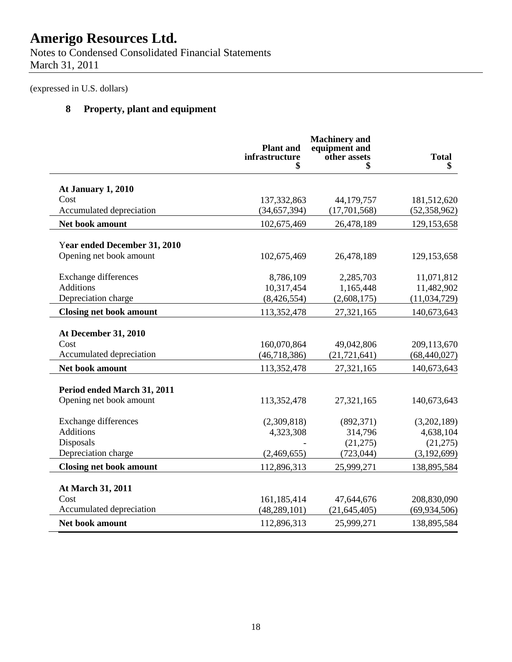Notes to Condensed Consolidated Financial Statements March 31, 2011

(expressed in U.S. dollars)

## **8 Property, plant and equipment**

|                                | <b>Plant</b> and<br>infrastructure<br>\$ | <b>Machinery</b> and<br>equipment and<br>other assets<br>\$ | <b>Total</b><br>\$ |
|--------------------------------|------------------------------------------|-------------------------------------------------------------|--------------------|
| <b>At January 1, 2010</b>      |                                          |                                                             |                    |
| Cost                           | 137, 332, 863                            | 44,179,757                                                  | 181,512,620        |
| Accumulated depreciation       | (34, 657, 394)                           | (17,701,568)                                                | (52, 358, 962)     |
| Net book amount                | 102,675,469                              | 26,478,189                                                  | 129, 153, 658      |
| Year ended December 31, 2010   |                                          |                                                             |                    |
| Opening net book amount        | 102,675,469                              | 26,478,189                                                  | 129,153,658        |
| <b>Exchange differences</b>    | 8,786,109                                | 2,285,703                                                   | 11,071,812         |
| <b>Additions</b>               | 10,317,454                               | 1,165,448                                                   | 11,482,902         |
| Depreciation charge            | (8,426,554)                              | (2,608,175)                                                 | (11, 034, 729)     |
| <b>Closing net book amount</b> | 113,352,478                              | 27,321,165                                                  | 140,673,643        |
| <b>At December 31, 2010</b>    |                                          |                                                             |                    |
| Cost                           | 160,070,864                              | 49,042,806                                                  | 209,113,670        |
| Accumulated depreciation       | (46, 718, 386)                           | (21, 721, 641)                                              | (68, 440, 027)     |
| Net book amount                | 113,352,478                              | 27,321,165                                                  | 140,673,643        |
| Period ended March 31, 2011    |                                          |                                                             |                    |
| Opening net book amount        | 113,352,478                              | 27,321,165                                                  | 140,673,643        |
| <b>Exchange differences</b>    | (2,309,818)                              | (892, 371)                                                  | (3,202,189)        |
| <b>Additions</b>               | 4,323,308                                | 314,796                                                     | 4,638,104          |
| Disposals                      |                                          | (21,275)                                                    | (21, 275)          |
| Depreciation charge            | (2,469,655)                              | (723, 044)                                                  | (3,192,699)        |
| <b>Closing net book amount</b> | 112,896,313                              | 25,999,271                                                  | 138,895,584        |
| At March 31, 2011              |                                          |                                                             |                    |
| Cost                           | 161,185,414                              | 47,644,676                                                  | 208,830,090        |
| Accumulated depreciation       | (48, 289, 101)                           | (21, 645, 405)                                              | (69, 934, 506)     |
| Net book amount                | 112,896,313                              | 25,999,271                                                  | 138,895,584        |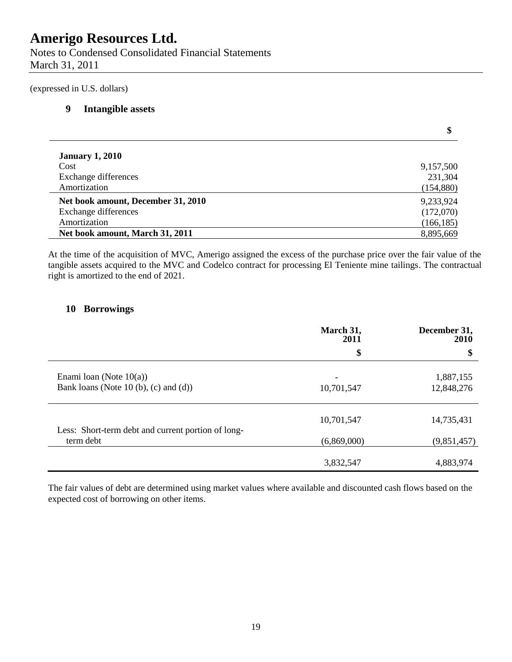Notes to Condensed Consolidated Financial Statements March 31, 2011

(expressed in U.S. dollars)

### **9 Intangible assets**

|                                    | \$         |
|------------------------------------|------------|
| <b>January 1, 2010</b>             |            |
| Cost                               | 9,157,500  |
| <b>Exchange differences</b>        | 231,304    |
| Amortization                       | (154, 880) |
| Net book amount, December 31, 2010 | 9,233,924  |
| Exchange differences               | (172,070)  |
| Amortization                       | (166, 185) |
| Net book amount, March 31, 2011    | 8,895,669  |

At the time of the acquisition of MVC, Amerigo assigned the excess of the purchase price over the fair value of the tangible assets acquired to the MVC and Codelco contract for processing El Teniente mine tailings. The contractual right is amortized to the end of 2021.

### **10 Borrowings**

|                                                                          | March 31,<br>2011 | December 31,<br><b>2010</b> |
|--------------------------------------------------------------------------|-------------------|-----------------------------|
|                                                                          | \$                | \$                          |
| Enami Ioan (Note $10(a)$ )<br>Bank loans (Note 10 (b), $(c)$ and $(d)$ ) | 10,701,547        | 1,887,155<br>12,848,276     |
| Less: Short-term debt and current portion of long-                       | 10,701,547        | 14,735,431                  |
| term debt                                                                | (6,869,000)       | (9,851,457)                 |
|                                                                          | 3,832,547         | 4,883,974                   |

The fair values of debt are determined using market values where available and discounted cash flows based on the expected cost of borrowing on other items.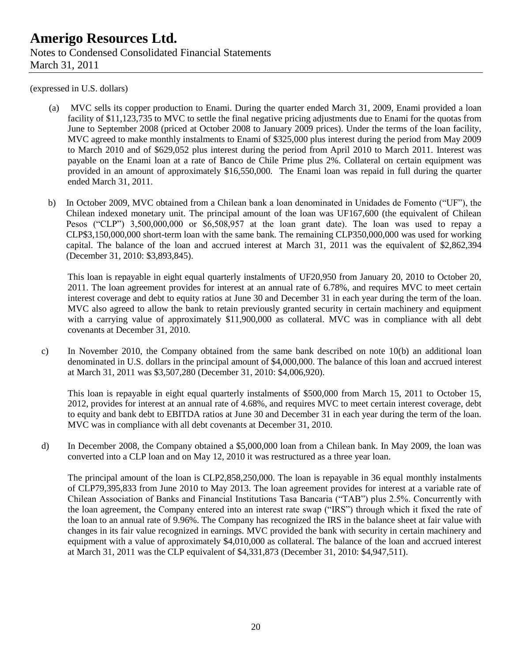## **Amerigo Resources Ltd.** Notes to Condensed Consolidated Financial Statements March 31, 2011

(expressed in U.S. dollars)

- (a) MVC sells its copper production to Enami. During the quarter ended March 31, 2009, Enami provided a loan facility of \$11,123,735 to MVC to settle the final negative pricing adjustments due to Enami for the quotas from June to September 2008 (priced at October 2008 to January 2009 prices). Under the terms of the loan facility, MVC agreed to make monthly instalments to Enami of \$325,000 plus interest during the period from May 2009 to March 2010 and of \$629,052 plus interest during the period from April 2010 to March 2011. Interest was payable on the Enami loan at a rate of Banco de Chile Prime plus 2%. Collateral on certain equipment was provided in an amount of approximately \$16,550,000. The Enami loan was repaid in full during the quarter ended March 31, 2011.
- b) In October 2009, MVC obtained from a Chilean bank a loan denominated in Unidades de Fomento ("UF"), the Chilean indexed monetary unit. The principal amount of the loan was UF167,600 (the equivalent of Chilean Pesos ("CLP") 3,500,000,000 or \$6,508,957 at the loan grant date). The loan was used to repay a CLP\$3,150,000,000 short-term loan with the same bank. The remaining CLP350,000,000 was used for working capital. The balance of the loan and accrued interest at March 31, 2011 was the equivalent of \$2,862,394 (December 31, 2010: \$3,893,845).

This loan is repayable in eight equal quarterly instalments of UF20,950 from January 20, 2010 to October 20, 2011. The loan agreement provides for interest at an annual rate of 6.78%, and requires MVC to meet certain interest coverage and debt to equity ratios at June 30 and December 31 in each year during the term of the loan. MVC also agreed to allow the bank to retain previously granted security in certain machinery and equipment with a carrying value of approximately \$11,900,000 as collateral. MVC was in compliance with all debt covenants at December 31, 2010.

c) In November 2010, the Company obtained from the same bank described on note 10(b) an additional loan denominated in U.S. dollars in the principal amount of \$4,000,000. The balance of this loan and accrued interest at March 31, 2011 was \$3,507,280 (December 31, 2010: \$4,006,920).

This loan is repayable in eight equal quarterly instalments of \$500,000 from March 15, 2011 to October 15, 2012, provides for interest at an annual rate of 4.68%, and requires MVC to meet certain interest coverage, debt to equity and bank debt to EBITDA ratios at June 30 and December 31 in each year during the term of the loan. MVC was in compliance with all debt covenants at December 31, 2010.

d) In December 2008, the Company obtained a \$5,000,000 loan from a Chilean bank. In May 2009, the loan was converted into a CLP loan and on May 12, 2010 it was restructured as a three year loan.

The principal amount of the loan is CLP2,858,250,000. The loan is repayable in 36 equal monthly instalments of CLP79,395,833 from June 2010 to May 2013. The loan agreement provides for interest at a variable rate of Chilean Association of Banks and Financial Institutions Tasa Bancaria ("TAB") plus 2.5%. Concurrently with the loan agreement, the Company entered into an interest rate swap ("IRS") through which it fixed the rate of the loan to an annual rate of 9.96%. The Company has recognized the IRS in the balance sheet at fair value with changes in its fair value recognized in earnings. MVC provided the bank with security in certain machinery and equipment with a value of approximately \$4,010,000 as collateral. The balance of the loan and accrued interest at March 31, 2011 was the CLP equivalent of \$4,331,873 (December 31, 2010: \$4,947,511).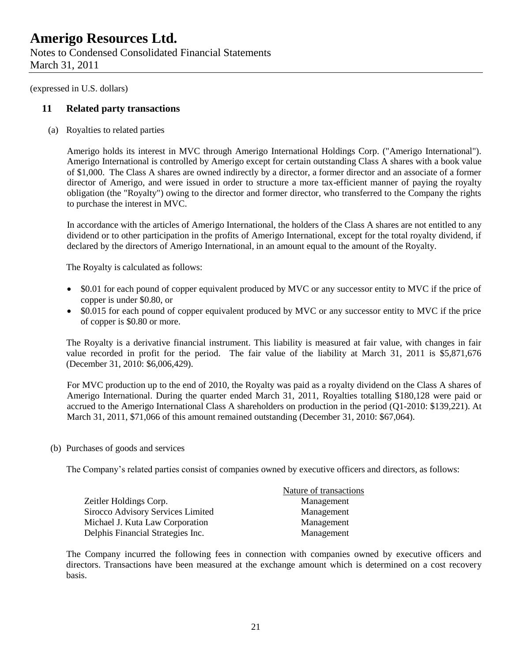Notes to Condensed Consolidated Financial Statements March 31, 2011

(expressed in U.S. dollars)

#### **11 Related party transactions**

(a) Royalties to related parties

Amerigo holds its interest in MVC through Amerigo International Holdings Corp. ("Amerigo International"). Amerigo International is controlled by Amerigo except for certain outstanding Class A shares with a book value of \$1,000. The Class A shares are owned indirectly by a director, a former director and an associate of a former director of Amerigo, and were issued in order to structure a more tax-efficient manner of paying the royalty obligation (the "Royalty") owing to the director and former director, who transferred to the Company the rights to purchase the interest in MVC.

In accordance with the articles of Amerigo International, the holders of the Class A shares are not entitled to any dividend or to other participation in the profits of Amerigo International, except for the total royalty dividend, if declared by the directors of Amerigo International, in an amount equal to the amount of the Royalty.

The Royalty is calculated as follows:

- \$0.01 for each pound of copper equivalent produced by MVC or any successor entity to MVC if the price of copper is under \$0.80, or
- \$0.015 for each pound of copper equivalent produced by MVC or any successor entity to MVC if the price of copper is \$0.80 or more.

The Royalty is a derivative financial instrument. This liability is measured at fair value, with changes in fair value recorded in profit for the period. The fair value of the liability at March 31, 2011 is \$5,871,676 (December 31, 2010: \$6,006,429).

For MVC production up to the end of 2010, the Royalty was paid as a royalty dividend on the Class A shares of Amerigo International. During the quarter ended March 31, 2011, Royalties totalling \$180,128 were paid or accrued to the Amerigo International Class A shareholders on production in the period (Q1-2010: \$139,221). At March 31, 2011, \$71,066 of this amount remained outstanding (December 31, 2010: \$67,064).

(b) Purchases of goods and services

The Company's related parties consist of companies owned by executive officers and directors, as follows:

|                                   | Nature of transactions |
|-----------------------------------|------------------------|
| Zeitler Holdings Corp.            | Management             |
| Sirocco Advisory Services Limited | Management             |
| Michael J. Kuta Law Corporation   | Management             |
| Delphis Financial Strategies Inc. | Management             |

The Company incurred the following fees in connection with companies owned by executive officers and directors. Transactions have been measured at the exchange amount which is determined on a cost recovery basis.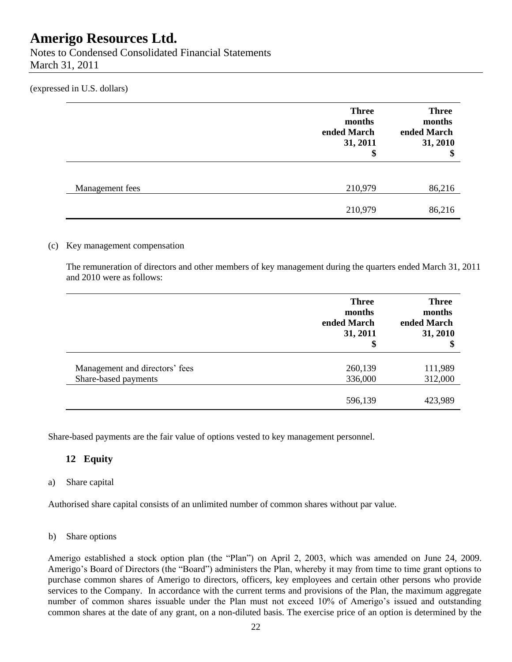Notes to Condensed Consolidated Financial Statements March 31, 2011

(expressed in U.S. dollars)

|                 | <b>Three</b><br>months<br>ended March<br>31, 2011<br>\$ | <b>Three</b><br>months<br>ended March<br>31, 2010<br>\$ |
|-----------------|---------------------------------------------------------|---------------------------------------------------------|
| Management fees | 210,979                                                 | 86,216                                                  |
|                 | 210,979                                                 | 86,216                                                  |

#### (c) Key management compensation

The remuneration of directors and other members of key management during the quarters ended March 31, 2011 and 2010 were as follows:

|                                | <b>Three</b><br>months<br>ended March<br>31, 2011<br>\$ | <b>Three</b><br>months<br>ended March<br>31, 2010<br>\$ |
|--------------------------------|---------------------------------------------------------|---------------------------------------------------------|
| Management and directors' fees | 260,139                                                 | 111,989                                                 |
| Share-based payments           | 336,000                                                 | 312,000                                                 |
|                                | 596,139                                                 | 423,989                                                 |

Share-based payments are the fair value of options vested to key management personnel.

## **12 Equity**

### a) Share capital

Authorised share capital consists of an unlimited number of common shares without par value.

#### b) Share options

Amerigo established a stock option plan (the "Plan") on April 2, 2003, which was amended on June 24, 2009. Amerigo's Board of Directors (the "Board") administers the Plan, whereby it may from time to time grant options to purchase common shares of Amerigo to directors, officers, key employees and certain other persons who provide services to the Company. In accordance with the current terms and provisions of the Plan, the maximum aggregate number of common shares issuable under the Plan must not exceed 10% of Amerigo's issued and outstanding common shares at the date of any grant, on a non-diluted basis. The exercise price of an option is determined by the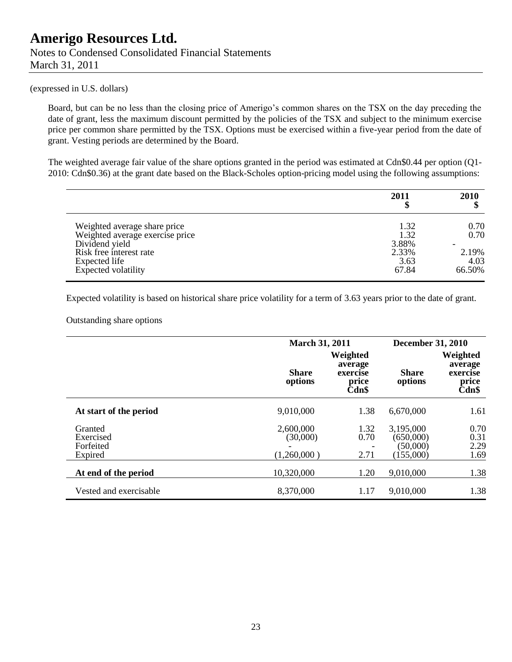Notes to Condensed Consolidated Financial Statements March 31, 2011

(expressed in U.S. dollars)

Board, but can be no less than the closing price of Amerigo's common shares on the TSX on the day preceding the date of grant, less the maximum discount permitted by the policies of the TSX and subject to the minimum exercise price per common share permitted by the TSX. Options must be exercised within a five-year period from the date of grant. Vesting periods are determined by the Board.

The weighted average fair value of the share options granted in the period was estimated at Cdn\$0.44 per option (Q1- 2010: Cdn\$0.36) at the grant date based on the Black-Scholes option-pricing model using the following assumptions:

|                                 | 2011  | 2010   |
|---------------------------------|-------|--------|
| Weighted average share price    | 1.32  | 0.70   |
| Weighted average exercise price | 1.32  | 0.70   |
| Dividend yield                  | 3.88% |        |
| Risk free interest rate         | 2.33% | 2.19%  |
| Expected life                   | 3.63  | 4.03   |
| Expected volatility             | 67.84 | 66.50% |

Expected volatility is based on historical share price volatility for a term of 3.63 years prior to the date of grant.

Outstanding share options

|                                              |                                      | <b>March 31, 2011</b>                                    |                                                 |                                                          |
|----------------------------------------------|--------------------------------------|----------------------------------------------------------|-------------------------------------------------|----------------------------------------------------------|
|                                              | <b>Share</b><br>options              | Weighted<br>average<br>exercise<br>price<br><b>Cdn\$</b> | <b>Share</b><br>options                         | Weighted<br>average<br>exercise<br>price<br><b>Cdn\$</b> |
| At start of the period                       | 9,010,000                            | 1.38                                                     | 6,670,000                                       | 1.61                                                     |
| Granted<br>Exercised<br>Forfeited<br>Expired | 2,600,000<br>(30,000)<br>(1,260,000) | 1.32<br>0.70<br>2.71                                     | 3,195,000<br>(650,000)<br>(50,000)<br>(155,000) | 0.70<br>0.31<br>2.29<br>1.69                             |
| At end of the period                         | 10,320,000                           | 1.20                                                     | 9,010,000                                       | 1.38                                                     |
| Vested and exercisable                       | 8,370,000                            | 1.17                                                     | 9,010,000                                       | 1.38                                                     |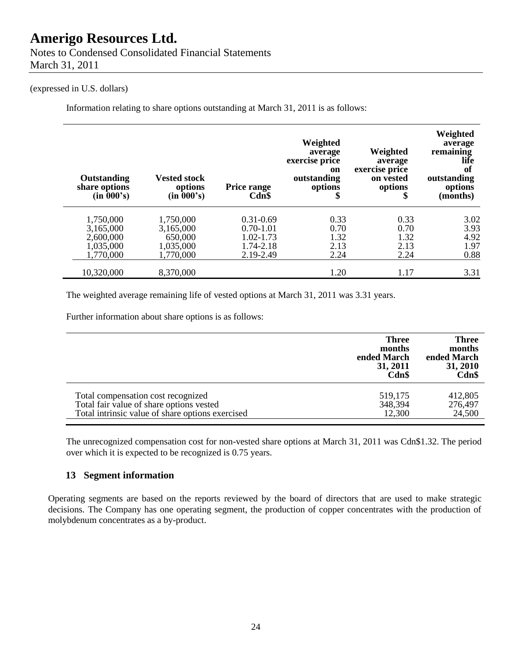## Notes to Condensed Consolidated Financial Statements March 31, 2011

#### (expressed in U.S. dollars)

Information relating to share options outstanding at March 31, 2011 is as follows:

| Outstanding<br>share options<br>(in 000's) | <b>Vested stock</b><br>options<br>(in 000's) | Price range<br>Cdn\$ | Weighted<br>average<br>exercise price<br>on<br>outstanding<br>options<br>\$ | Weighted<br>average<br>exercise price<br>on vested<br>options<br>\$ | Weighted<br>average<br>remaining<br>life<br>of<br>outstanding<br>options<br>(months) |
|--------------------------------------------|----------------------------------------------|----------------------|-----------------------------------------------------------------------------|---------------------------------------------------------------------|--------------------------------------------------------------------------------------|
| 1,750,000                                  | 1,750,000                                    | $0.31 - 0.69$        | 0.33                                                                        | 0.33                                                                | 3.02                                                                                 |
| 3,165,000                                  | 3,165,000                                    | $0.70 - 1.01$        | 0.70                                                                        | 0.70                                                                | 3.93                                                                                 |
| 2,600,000                                  | 650,000                                      | 1.02-1.73            | 1.32                                                                        | 1.32                                                                | 4.92                                                                                 |
| 1,035,000                                  | 1,035,000                                    | 1.74-2.18            | 2.13                                                                        | 2.13                                                                | 1.97                                                                                 |
| 1,770,000                                  | 1,770,000                                    | 2.19-2.49            | 2.24                                                                        | 2.24                                                                | 0.88                                                                                 |
| 10,320,000                                 | 8,370,000                                    |                      | 1.20                                                                        | 1.17                                                                | 3.31                                                                                 |

The weighted average remaining life of vested options at March 31, 2011 was 3.31 years.

Further information about share options is as follows:

|                                                  | <b>Three</b><br>months<br>ended March<br>31, 2011<br>Cdn\$ | <b>Three</b><br>months<br>ended March<br>31, 2010<br>Cdn\$ |
|--------------------------------------------------|------------------------------------------------------------|------------------------------------------------------------|
| Total compensation cost recognized               | 519,175                                                    | 412,805                                                    |
| Total fair value of share options vested         | 348,394                                                    | 276,497                                                    |
| Total intrinsic value of share options exercised | 12,300                                                     | 24,500                                                     |

The unrecognized compensation cost for non-vested share options at March 31, 2011 was Cdn\$1.32. The period over which it is expected to be recognized is 0.75 years.

### **13 Segment information**

Operating segments are based on the reports reviewed by the board of directors that are used to make strategic decisions. The Company has one operating segment, the production of copper concentrates with the production of molybdenum concentrates as a by-product.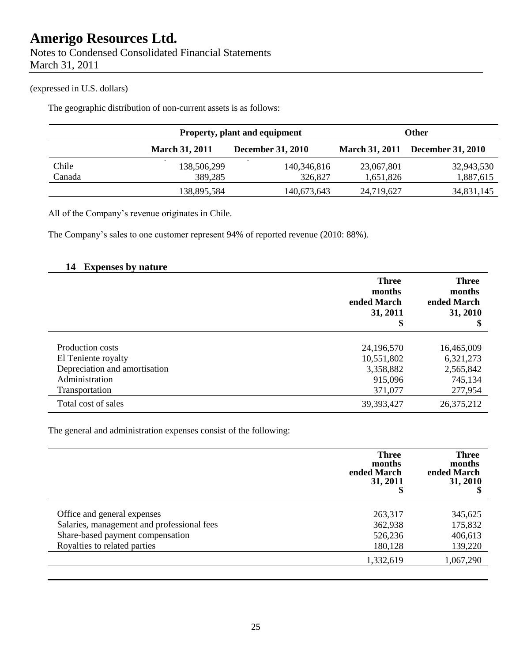Notes to Condensed Consolidated Financial Statements March 31, 2011

### (expressed in U.S. dollars)

The geographic distribution of non-current assets is as follows:

|        |                       | Property, plant and equipment | <b>Other</b> |                                  |  |
|--------|-----------------------|-------------------------------|--------------|----------------------------------|--|
|        | <b>March 31, 2011</b> | <b>December 31, 2010</b>      |              | March 31, 2011 December 31, 2010 |  |
| Chile  | 138,506,299           | 140,346,816                   | 23,067,801   | 32,943,530                       |  |
| Canada | 389,285               | 326,827                       | 1,651,826    | 1,887,615                        |  |
|        | 138,895,584           | 140,673,643                   | 24,719,627   | 34,831,145                       |  |

All of the Company's revenue originates in Chile.

The Company's sales to one customer represent 94% of reported revenue (2010: 88%).

### **14 Expenses by nature**

|                                                                                                              | <b>Three</b><br>months<br>ended March<br>31, 2011<br>\$     | <b>Three</b><br>months<br>ended March<br>31, 2010<br>\$    |
|--------------------------------------------------------------------------------------------------------------|-------------------------------------------------------------|------------------------------------------------------------|
| Production costs<br>El Teniente royalty<br>Depreciation and amortisation<br>Administration<br>Transportation | 24,196,570<br>10,551,802<br>3,358,882<br>915,096<br>371,077 | 16,465,009<br>6,321,273<br>2,565,842<br>745,134<br>277,954 |
| Total cost of sales                                                                                          | 39,393,427                                                  | 26,375,212                                                 |

The general and administration expenses consist of the following:

|                                            | <b>Three</b><br>months<br>ended March<br>31, 2011 | <b>Three</b><br>months<br>ended March<br>31, 2010 |
|--------------------------------------------|---------------------------------------------------|---------------------------------------------------|
| Office and general expenses                | 263,317                                           | 345,625                                           |
| Salaries, management and professional fees | 362,938                                           | 175,832                                           |
| Share-based payment compensation           | 526,236                                           | 406,613                                           |
| Royalties to related parties               | 180,128                                           | 139,220                                           |
|                                            | 1,332,619                                         | 1,067,290                                         |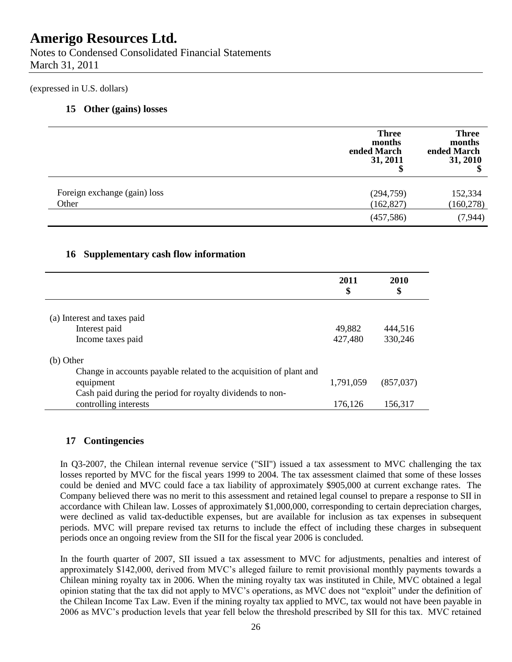Notes to Condensed Consolidated Financial Statements March 31, 2011

(expressed in U.S. dollars)

### **15 Other (gains) losses**

|                                       | <b>Three</b><br>months<br>ended March<br>31, 2011 | <b>Three</b><br>months<br>ended March<br>31, 2010 |
|---------------------------------------|---------------------------------------------------|---------------------------------------------------|
| Foreign exchange (gain) loss<br>Other | (294, 759)<br>(162, 827)                          | 152,334<br>(160, 278)                             |
|                                       | (457, 586)                                        | (7, 944)                                          |

### **16 Supplementary cash flow information**

|                                                                    | 2011<br>\$ | 2010<br>\$ |
|--------------------------------------------------------------------|------------|------------|
| (a) Interest and taxes paid                                        |            |            |
| Interest paid                                                      | 49,882     | 444,516    |
| Income taxes paid                                                  | 427,480    | 330,246    |
| (b) Other                                                          |            |            |
| Change in accounts payable related to the acquisition of plant and |            |            |
| equipment                                                          | 1,791,059  | (857.037)  |
| Cash paid during the period for royalty dividends to non-          |            |            |
| controlling interests                                              | 176,126    | 156,317    |

### **17 Contingencies**

In Q3-2007, the Chilean internal revenue service ("SII") issued a tax assessment to MVC challenging the tax losses reported by MVC for the fiscal years 1999 to 2004. The tax assessment claimed that some of these losses could be denied and MVC could face a tax liability of approximately \$905,000 at current exchange rates. The Company believed there was no merit to this assessment and retained legal counsel to prepare a response to SII in accordance with Chilean law. Losses of approximately \$1,000,000, corresponding to certain depreciation charges, were declined as valid tax-deductible expenses, but are available for inclusion as tax expenses in subsequent periods. MVC will prepare revised tax returns to include the effect of including these charges in subsequent periods once an ongoing review from the SII for the fiscal year 2006 is concluded.

In the fourth quarter of 2007, SII issued a tax assessment to MVC for adjustments, penalties and interest of approximately \$142,000, derived from MVC's alleged failure to remit provisional monthly payments towards a Chilean mining royalty tax in 2006. When the mining royalty tax was instituted in Chile, MVC obtained a legal opinion stating that the tax did not apply to MVC's operations, as MVC does not "exploit" under the definition of the Chilean Income Tax Law. Even if the mining royalty tax applied to MVC, tax would not have been payable in 2006 as MVC's production levels that year fell below the threshold prescribed by SII for this tax. MVC retained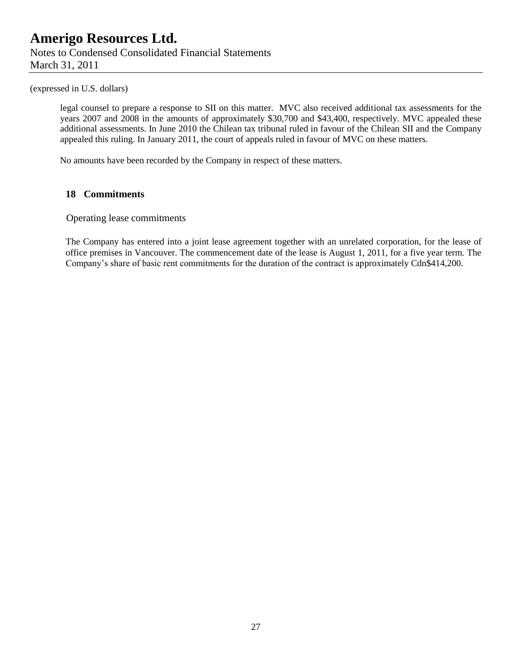Notes to Condensed Consolidated Financial Statements March 31, 2011

(expressed in U.S. dollars)

legal counsel to prepare a response to SII on this matter. MVC also received additional tax assessments for the years 2007 and 2008 in the amounts of approximately \$30,700 and \$43,400, respectively. MVC appealed these additional assessments. In June 2010 the Chilean tax tribunal ruled in favour of the Chilean SII and the Company appealed this ruling. In January 2011, the court of appeals ruled in favour of MVC on these matters.

No amounts have been recorded by the Company in respect of these matters.

### **18 Commitments**

Operating lease commitments

The Company has entered into a joint lease agreement together with an unrelated corporation, for the lease of office premises in Vancouver. The commencement date of the lease is August 1, 2011, for a five year term. The Company's share of basic rent commitments for the duration of the contract is approximately Cdn\$414,200.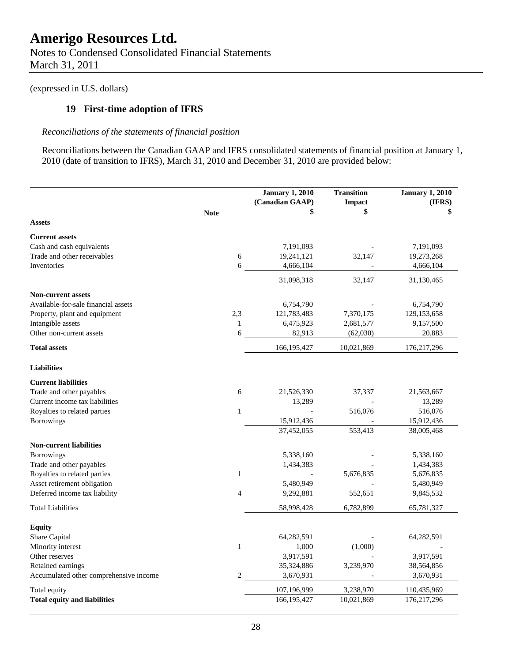Notes to Condensed Consolidated Financial Statements March 31, 2011

(expressed in U.S. dollars)

## **19 First-time adoption of IFRS**

## *Reconciliations of the statements of financial position*

Reconciliations between the Canadian GAAP and IFRS consolidated statements of financial position at January 1, 2010 (date of transition to IFRS), March 31, 2010 and December 31, 2010 are provided below:

|                                        | <b>Note</b>    | <b>January 1, 2010</b><br>(Canadian GAAP)<br>\$ | <b>Transition</b><br>Impact<br>\$ | <b>January 1, 2010</b><br>(IFRS)<br>\$ |
|----------------------------------------|----------------|-------------------------------------------------|-----------------------------------|----------------------------------------|
| <b>Assets</b>                          |                |                                                 |                                   |                                        |
| <b>Current assets</b>                  |                |                                                 |                                   |                                        |
| Cash and cash equivalents              |                | 7,191,093                                       |                                   | 7,191,093                              |
| Trade and other receivables            | 6              | 19,241,121                                      | 32,147                            | 19,273,268                             |
| Inventories                            | 6              | 4,666,104                                       |                                   | 4,666,104                              |
|                                        |                | 31,098,318                                      | 32,147                            | 31,130,465                             |
| <b>Non-current assets</b>              |                |                                                 |                                   |                                        |
| Available-for-sale financial assets    |                | 6,754,790                                       |                                   | 6,754,790                              |
| Property, plant and equipment          | 2,3            | 121,783,483                                     | 7,370,175                         | 129,153,658                            |
| Intangible assets                      | $\mathbf{1}$   | 6,475,923                                       | 2,681,577                         | 9,157,500                              |
| Other non-current assets               | 6              | 82,913                                          | (62,030)                          | 20,883                                 |
| <b>Total assets</b>                    |                | 166, 195, 427                                   | 10,021,869                        | 176,217,296                            |
| <b>Liabilities</b>                     |                |                                                 |                                   |                                        |
| <b>Current liabilities</b>             |                |                                                 |                                   |                                        |
| Trade and other payables               | 6              | 21,526,330                                      | 37,337                            | 21,563,667                             |
| Current income tax liabilities         |                | 13,289                                          |                                   | 13,289                                 |
| Royalties to related parties           | $\,1$          |                                                 | 516,076                           | 516,076                                |
| <b>Borrowings</b>                      |                | 15,912,436                                      |                                   | 15,912,436                             |
|                                        |                | 37,452,055                                      | 553,413                           | 38,005,468                             |
| <b>Non-current liabilities</b>         |                |                                                 |                                   |                                        |
| <b>Borrowings</b>                      |                | 5,338,160                                       |                                   | 5,338,160                              |
| Trade and other payables               |                | 1,434,383                                       |                                   | 1,434,383                              |
| Royalties to related parties           | $\mathbf{1}$   |                                                 | 5,676,835                         | 5,676,835                              |
| Asset retirement obligation            |                | 5,480,949                                       |                                   | 5,480,949                              |
| Deferred income tax liability          | $\overline{4}$ | 9,292,881                                       | 552,651                           | 9,845,532                              |
| <b>Total Liabilities</b>               |                | 58,998,428                                      | 6,782,899                         | 65,781,327                             |
| <b>Equity</b>                          |                |                                                 |                                   |                                        |
| Share Capital                          |                | 64,282,591                                      |                                   | 64,282,591                             |
| Minority interest                      | $\mathbf{1}$   | 1,000                                           | (1,000)                           |                                        |
| Other reserves                         |                | 3,917,591                                       |                                   | 3,917,591                              |
| Retained earnings                      |                | 35,324,886                                      | 3,239,970                         | 38,564,856                             |
| Accumulated other comprehensive income | 2              | 3,670,931                                       |                                   | 3,670,931                              |
| Total equity                           |                | 107,196,999                                     | 3,238,970                         | 110,435,969                            |
| <b>Total equity and liabilities</b>    |                | 166, 195, 427                                   | 10,021,869                        | 176,217,296                            |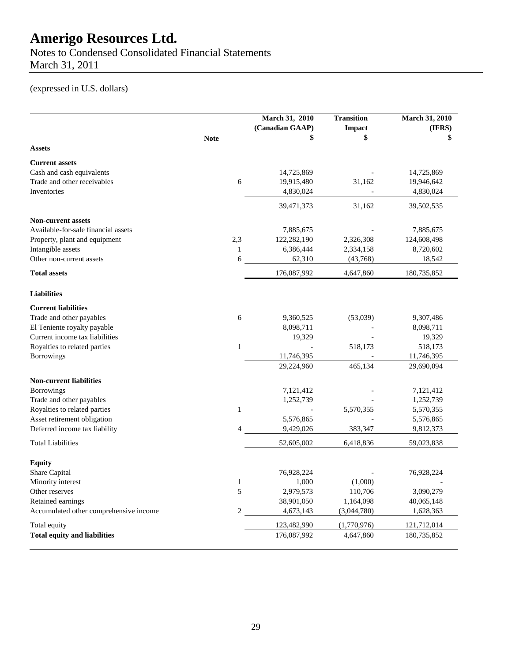## Notes to Condensed Consolidated Financial Statements March 31, 2011

## (expressed in U.S. dollars)

|                                        |              | March 31, 2010<br>(Canadian GAAP) | <b>Transition</b><br>Impact | March 31, 2010<br>(IFRS) |
|----------------------------------------|--------------|-----------------------------------|-----------------------------|--------------------------|
| <b>Assets</b>                          | <b>Note</b>  | \$                                | \$                          | \$                       |
| <b>Current assets</b>                  |              |                                   |                             |                          |
| Cash and cash equivalents              |              | 14,725,869                        |                             | 14,725,869               |
| Trade and other receivables            | 6            | 19,915,480                        | 31,162                      | 19,946,642               |
| Inventories                            |              | 4,830,024                         |                             | 4,830,024                |
|                                        |              | 39,471,373                        | 31,162                      | 39,502,535               |
| <b>Non-current assets</b>              |              |                                   |                             |                          |
| Available-for-sale financial assets    |              | 7,885,675                         |                             | 7,885,675                |
| Property, plant and equipment          | 2,3          | 122,282,190                       | 2,326,308                   | 124,608,498              |
| Intangible assets                      | $\mathbf{1}$ | 6,386,444                         | 2,334,158                   | 8,720,602                |
| Other non-current assets               | 6            | 62,310                            | (43,768)                    | 18,542                   |
| <b>Total assets</b>                    |              | 176,087,992                       | 4,647,860                   | 180,735,852              |
| <b>Liabilities</b>                     |              |                                   |                             |                          |
| <b>Current liabilities</b>             |              |                                   |                             |                          |
| Trade and other payables               | 6            | 9,360,525                         | (53,039)                    | 9,307,486                |
| El Teniente royalty payable            |              | 8,098,711                         |                             | 8,098,711                |
| Current income tax liabilities         |              | 19,329                            |                             | 19,329                   |
| Royalties to related parties           | $\mathbf{1}$ |                                   | 518,173                     | 518,173                  |
| <b>Borrowings</b>                      |              | 11,746,395                        |                             | 11,746,395               |
|                                        |              | 29,224,960                        | 465,134                     | 29,690,094               |
| <b>Non-current liabilities</b>         |              |                                   |                             |                          |
| <b>Borrowings</b>                      |              | 7,121,412                         |                             | 7,121,412                |
| Trade and other payables               |              | 1,252,739                         |                             | 1,252,739                |
| Royalties to related parties           | $\mathbf{1}$ |                                   | 5,570,355                   | 5,570,355                |
| Asset retirement obligation            |              | 5,576,865                         |                             | 5,576,865                |
| Deferred income tax liability          | 4            | 9,429,026                         | 383,347                     | 9,812,373                |
| <b>Total Liabilities</b>               |              | 52,605,002                        | 6,418,836                   | 59,023,838               |
| <b>Equity</b>                          |              |                                   |                             |                          |
| Share Capital                          |              | 76,928,224                        |                             | 76,928,224               |
| Minority interest                      | $\mathbf{1}$ | 1,000                             | (1,000)                     |                          |
| Other reserves                         | 5            | 2,979,573                         | 110,706                     | 3,090,279                |
| Retained earnings                      |              | 38,901,050                        | 1,164,098                   | 40,065,148               |
| Accumulated other comprehensive income | 2            | 4,673,143                         | (3,044,780)                 | 1,628,363                |
| Total equity                           |              | 123,482,990                       | (1,770,976)                 | 121,712,014              |
| <b>Total equity and liabilities</b>    |              | 176,087,992                       | 4,647,860                   | 180,735,852              |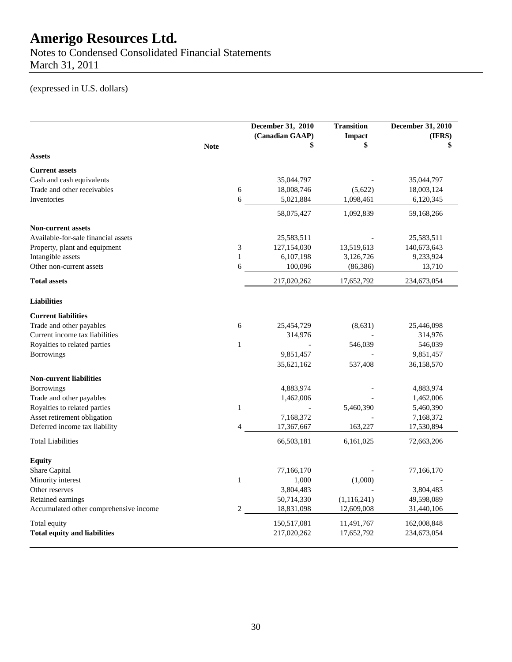Notes to Condensed Consolidated Financial Statements March 31, 2011

## (expressed in U.S. dollars)

|                                        |              | December 31, 2010<br>(Canadian GAAP)<br>\$ | <b>Transition</b><br><b>Impact</b><br>\$ | December 31, 2010<br>(IFRS)<br>\$ |
|----------------------------------------|--------------|--------------------------------------------|------------------------------------------|-----------------------------------|
| <b>Assets</b>                          | <b>Note</b>  |                                            |                                          |                                   |
| <b>Current assets</b>                  |              |                                            |                                          |                                   |
| Cash and cash equivalents              |              | 35,044,797                                 |                                          | 35,044,797                        |
| Trade and other receivables            | 6            | 18,008,746                                 | (5,622)                                  | 18,003,124                        |
| Inventories                            | 6            | 5,021,884                                  | 1,098,461                                | 6,120,345                         |
|                                        |              | 58,075,427                                 | 1,092,839                                | 59,168,266                        |
| <b>Non-current assets</b>              |              |                                            |                                          |                                   |
| Available-for-sale financial assets    |              | 25,583,511                                 |                                          | 25,583,511                        |
| Property, plant and equipment          | 3            | 127,154,030                                | 13,519,613                               | 140,673,643                       |
| Intangible assets                      | $\mathbf{1}$ | 6,107,198                                  | 3,126,726                                | 9,233,924                         |
| Other non-current assets               | 6            | 100,096                                    | (86, 386)                                | 13,710                            |
| <b>Total assets</b>                    |              | 217,020,262                                | 17,652,792                               | 234,673,054                       |
| <b>Liabilities</b>                     |              |                                            |                                          |                                   |
| <b>Current liabilities</b>             |              |                                            |                                          |                                   |
| Trade and other payables               | 6            | 25,454,729                                 | (8,631)                                  | 25,446,098                        |
| Current income tax liabilities         |              | 314,976                                    |                                          | 314,976                           |
| Royalties to related parties           | $\,1$        |                                            | 546,039                                  | 546,039                           |
| <b>Borrowings</b>                      |              | 9,851,457                                  |                                          | 9,851,457                         |
|                                        |              | 35,621,162                                 | 537,408                                  | 36,158,570                        |
| <b>Non-current liabilities</b>         |              |                                            |                                          |                                   |
| Borrowings                             |              | 4,883,974                                  |                                          | 4,883,974                         |
| Trade and other payables               |              | 1,462,006                                  |                                          | 1,462,006                         |
| Royalties to related parties           | $\mathbf{1}$ |                                            | 5,460,390                                | 5,460,390                         |
| Asset retirement obligation            |              | 7,168,372                                  |                                          | 7,168,372                         |
| Deferred income tax liability          | 4            | 17,367,667                                 | 163,227                                  | 17,530,894                        |
| <b>Total Liabilities</b>               |              | 66,503,181                                 | 6,161,025                                | 72,663,206                        |
| <b>Equity</b>                          |              |                                            |                                          |                                   |
| Share Capital                          |              | 77,166,170                                 |                                          | 77,166,170                        |
| Minority interest                      | $\mathbf{1}$ | 1,000                                      | (1,000)                                  |                                   |
| Other reserves                         |              | 3,804,483                                  |                                          | 3,804,483                         |
| Retained earnings                      |              | 50,714,330                                 | (1,116,241)                              | 49,598,089                        |
| Accumulated other comprehensive income | 2            | 18,831,098                                 | 12,609,008                               | 31,440,106                        |
| Total equity                           |              | 150,517,081                                | 11,491,767                               | 162,008,848                       |
| <b>Total equity and liabilities</b>    |              | 217,020,262                                | 17,652,792                               | 234,673,054                       |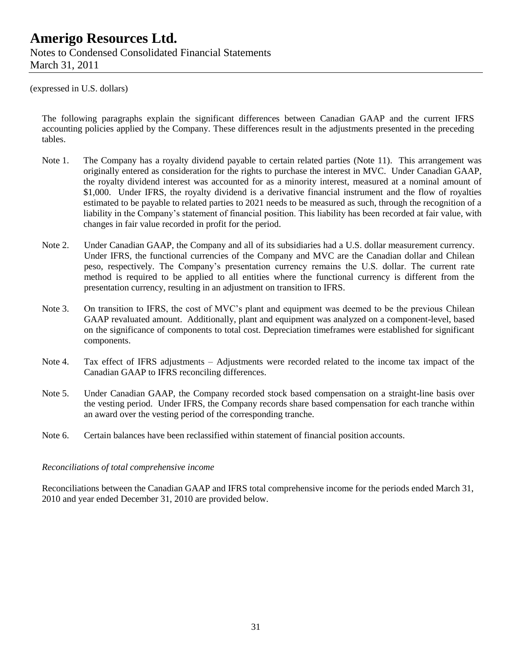Notes to Condensed Consolidated Financial Statements March 31, 2011

(expressed in U.S. dollars)

The following paragraphs explain the significant differences between Canadian GAAP and the current IFRS accounting policies applied by the Company. These differences result in the adjustments presented in the preceding tables.

- Note 1. The Company has a royalty dividend payable to certain related parties (Note 11). This arrangement was originally entered as consideration for the rights to purchase the interest in MVC. Under Canadian GAAP, the royalty dividend interest was accounted for as a minority interest, measured at a nominal amount of \$1,000. Under IFRS, the royalty dividend is a derivative financial instrument and the flow of royalties estimated to be payable to related parties to 2021 needs to be measured as such, through the recognition of a liability in the Company's statement of financial position. This liability has been recorded at fair value, with changes in fair value recorded in profit for the period.
- Note 2. Under Canadian GAAP, the Company and all of its subsidiaries had a U.S. dollar measurement currency. Under IFRS, the functional currencies of the Company and MVC are the Canadian dollar and Chilean peso, respectively. The Company's presentation currency remains the U.S. dollar. The current rate method is required to be applied to all entities where the functional currency is different from the presentation currency, resulting in an adjustment on transition to IFRS.
- Note 3. On transition to IFRS, the cost of MVC's plant and equipment was deemed to be the previous Chilean GAAP revaluated amount. Additionally, plant and equipment was analyzed on a component-level, based on the significance of components to total cost. Depreciation timeframes were established for significant components.
- Note 4. Tax effect of IFRS adjustments Adjustments were recorded related to the income tax impact of the Canadian GAAP to IFRS reconciling differences.
- Note 5. Under Canadian GAAP, the Company recorded stock based compensation on a straight-line basis over the vesting period. Under IFRS, the Company records share based compensation for each tranche within an award over the vesting period of the corresponding tranche.
- Note 6. Certain balances have been reclassified within statement of financial position accounts.

#### *Reconciliations of total comprehensive income*

Reconciliations between the Canadian GAAP and IFRS total comprehensive income for the periods ended March 31, 2010 and year ended December 31, 2010 are provided below.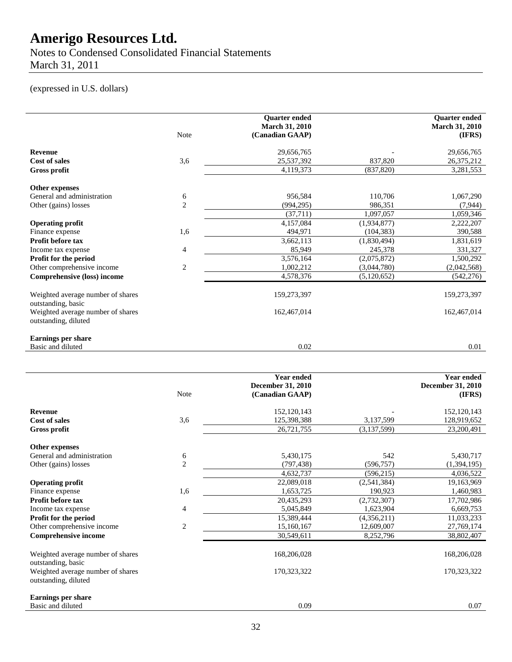Notes to Condensed Consolidated Financial Statements March 31, 2011

## (expressed in U.S. dollars)

|                                                           | <b>Note</b>    | <b>Quarter ended</b><br><b>March 31, 2010</b><br>(Canadian GAAP) |             | <b>Quarter ended</b><br><b>March 31, 2010</b><br>(IFRS) |
|-----------------------------------------------------------|----------------|------------------------------------------------------------------|-------------|---------------------------------------------------------|
| <b>Revenue</b>                                            |                | 29,656,765                                                       |             | 29,656,765                                              |
| Cost of sales                                             | 3,6            | 25,537,392                                                       | 837,820     | 26, 375, 212                                            |
| Gross profit                                              |                | 4,119,373                                                        | (837, 820)  | 3,281,553                                               |
| Other expenses                                            |                |                                                                  |             |                                                         |
| General and administration                                | 6              | 956,584                                                          | 110,706     | 1,067,290                                               |
| Other (gains) losses                                      | $\overline{c}$ | (994, 295)                                                       | 986,351     | (7, 944)                                                |
|                                                           |                | (37,711)                                                         | 1,097,057   | 1,059,346                                               |
| <b>Operating profit</b>                                   |                | 4,157,084                                                        | (1,934,877) | 2,222,207                                               |
| Finance expense                                           | 1,6            | 494,971                                                          | (104, 383)  | 390,588                                                 |
| Profit before tax                                         |                | 3,662,113                                                        | (1,830,494) | 1,831,619                                               |
| Income tax expense                                        | 4              | 85,949                                                           | 245,378     | 331,327                                                 |
| Profit for the period                                     |                | 3,576,164                                                        | (2,075,872) | 1,500,292                                               |
| Other comprehensive income                                | 2              | 1,002,212                                                        | (3,044,780) | (2,042,568)                                             |
| Comprehensive (loss) income                               |                | 4,578,376                                                        | (5,120,652) | (542, 276)                                              |
| Weighted average number of shares<br>outstanding, basic   |                | 159,273,397                                                      |             | 159,273,397                                             |
| Weighted average number of shares<br>outstanding, diluted |                | 162,467,014                                                      |             | 162,467,014                                             |
| Earnings per share<br>Basic and diluted                   |                | 0.02                                                             |             | 0.01                                                    |

|                                                           | <b>Note</b>    | <b>Year ended</b><br><b>December 31, 2010</b><br>(Canadian GAAP) |             | <b>Year ended</b><br><b>December 31, 2010</b><br>(IFRS) |
|-----------------------------------------------------------|----------------|------------------------------------------------------------------|-------------|---------------------------------------------------------|
| <b>Revenue</b>                                            |                | 152, 120, 143                                                    |             | 152,120,143                                             |
| <b>Cost of sales</b>                                      | 3,6            | 125,398,388                                                      | 3,137,599   | 128,919,652                                             |
| Gross profit                                              |                | 26,721,755                                                       | (3,137,599) | 23,200,491                                              |
| Other expenses                                            |                |                                                                  |             |                                                         |
| General and administration                                | 6              | 5,430,175                                                        | 542         | 5,430,717                                               |
| Other (gains) losses                                      | $\overline{c}$ | (797, 438)                                                       | (596, 757)  | (1,394,195)                                             |
|                                                           |                | 4,632,737                                                        | (596, 215)  | 4,036,522                                               |
| <b>Operating profit</b>                                   |                | 22,089,018                                                       | (2,541,384) | 19,163,969                                              |
| Finance expense                                           | 1,6            | 1,653,725                                                        | 190,923     | 1,460,983                                               |
| Profit before tax                                         |                | 20,435,293                                                       | (2,732,307) | 17,702,986                                              |
| Income tax expense                                        | 4              | 5,045,849                                                        | 1,623,904   | 6,669,753                                               |
| Profit for the period                                     |                | 15,389,444                                                       | (4,356,211) | 11,033,233                                              |
| Other comprehensive income                                | $\overline{2}$ | 15,160,167                                                       | 12,609,007  | 27,769,174                                              |
| <b>Comprehensive income</b>                               |                | 30,549,611                                                       | 8,252,796   | 38,802,407                                              |
| Weighted average number of shares<br>outstanding, basic   |                | 168,206,028                                                      |             | 168,206,028                                             |
| Weighted average number of shares<br>outstanding, diluted |                | 170,323,322                                                      |             | 170,323,322                                             |
| <b>Earnings per share</b><br>Basic and diluted            |                | 0.09                                                             |             | 0.07                                                    |